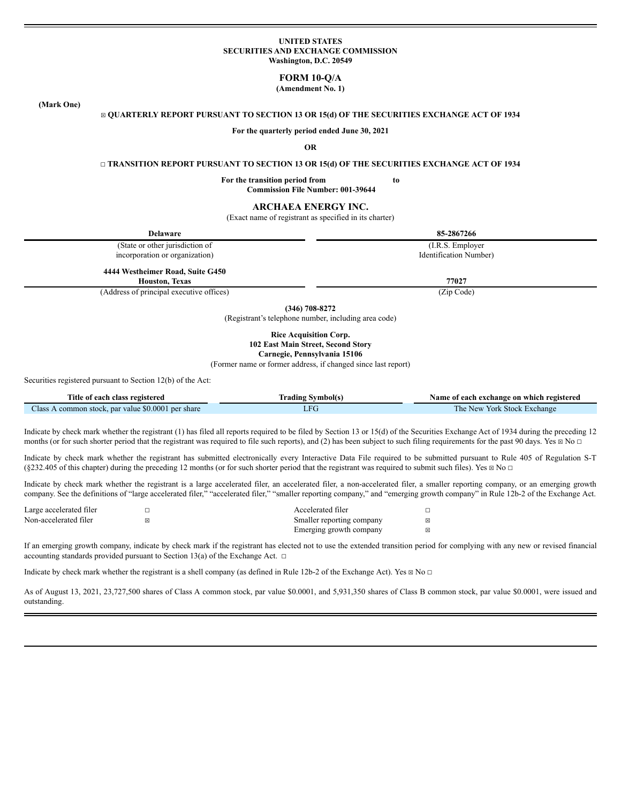### **UNITED STATES SECURITIES AND EXCHANGE COMMISSION Washington, D.C. 20549**

# **FORM 10-Q/A**

**(Amendment No. 1)**

**(Mark One)**

#### ☒ **QUARTERLY REPORT PURSUANT TO SECTION 13 OR 15(d) OF THE SECURITIES EXCHANGE ACT OF 1934**

**For the quarterly period ended June 30, 2021**

**OR**

#### ☐ **TRANSITION REPORT PURSUANT TO SECTION 13 OR 15(d) OF THE SECURITIES EXCHANGE ACT OF 1934**

**For the transition period from to Commission File Number: 001-39644**

# **ARCHAEA ENERGY INC.**

(Exact name of registrant as specified in its charter)

| <b>Delaware</b>                                           | 85-2867266             |
|-----------------------------------------------------------|------------------------|
| (State or other jurisdiction of                           | (I.R.S. Employer)      |
| incorporation or organization)                            | Identification Number) |
| 4444 Westheimer Road, Suite G450<br><b>Houston, Texas</b> | 77027                  |
| (Address of principal executive offices)                  | (Zip Code)             |
|                                                           |                        |

**(346) 708-8272**

(Registrant's telephone number, including area code)

# **Rice Acquisition Corp. 102 East Main Street, Second Story**

**Carnegie, Pennsylvania 15106**

(Former name or former address, if changed since last report)

Securities registered pursuant to Section 12(b) of the Act:

| Title of each class registered<br>Symbol(s<br><b>rading</b>   |     | Name of each exchange on which registered |
|---------------------------------------------------------------|-----|-------------------------------------------|
| Class<br>$\lambda$ common stock, par value \$0.0001 per share | LFU | York Stock Exchange<br>The New            |

Indicate by check mark whether the registrant (1) has filed all reports required to be filed by Section 13 or 15(d) of the Securities Exchange Act of 1934 during the preceding 12 months (or for such shorter period that the registrant was required to file such reports), and (2) has been subject to such filing requirements for the past 90 days. Yes  $\boxtimes$  No  $\Box$ 

Indicate by check mark whether the registrant has submitted electronically every Interactive Data File required to be submitted pursuant to Rule 405 of Regulation S-T (§232.405 of this chapter) during the preceding 12 months (or for such shorter period that the registrant was required to submit such files). Yes  $\boxtimes$  No  $\Box$ 

Indicate by check mark whether the registrant is a large accelerated filer, an accelerated filer, a non-accelerated filer, a smaller reporting company, or an emerging growth company. See the definitions of "large accelerated filer," "accelerated filer," "smaller reporting company," and "emerging growth company" in Rule 12b-2 of the Exchange Act.

| Large accelerated filer | Accelerated filer         |   |
|-------------------------|---------------------------|---|
| Non-accelerated filer   | Smaller reporting company | ⊠ |
|                         | Emerging growth company   | ⊠ |

If an emerging growth company, indicate by check mark if the registrant has elected not to use the extended transition period for complying with any new or revised financial accounting standards provided pursuant to Section 13(a) of the Exchange Act.  $\Box$ 

Indicate by check mark whether the registrant is a shell company (as defined in Rule 12b-2 of the Exchange Act). Yes  $\boxtimes$  No  $\Box$ 

As of August 13, 2021, 23,727,500 shares of Class A common stock, par value \$0.0001, and 5,931,350 shares of Class B common stock, par value \$0.0001, were issued and outstanding.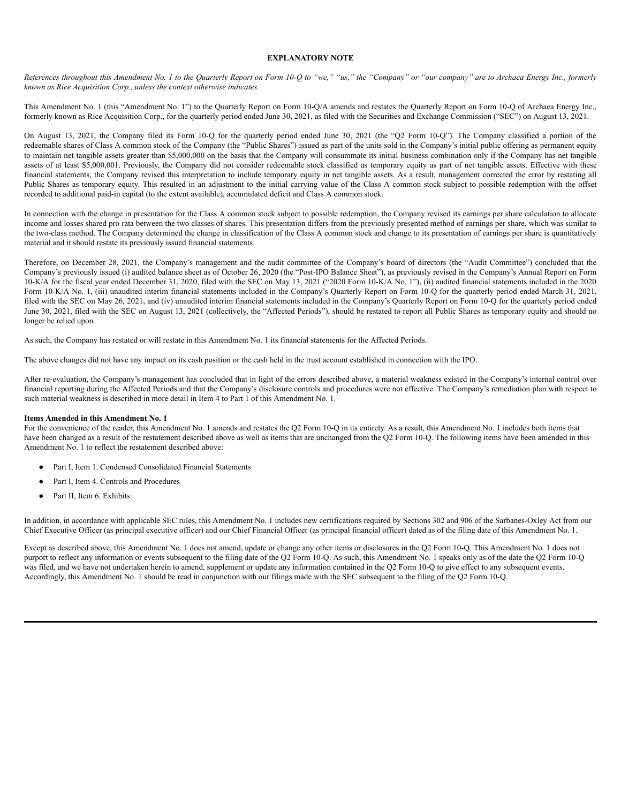### **EXPLANATORY NOTE**

References throughout this Amendment No. 1 to the Quarterly Report on Form 10-Q to "we," "us," the "Company" or "our company" are to Archaea Energy Inc., formerly *known as Rice Acquisition Corp., unless the context otherwise indicates.*

This Amendment No. 1 (this "Amendment No. 1") to the Quarterly Report on Form 10-Q/A amends and restates the Quarterly Report on Form 10-Q of Archaea Energy Inc., formerly known as Rice Acquisition Corp., for the quarterly period ended June 30, 2021, as filed with the Securities and Exchange Commission ("SEC") on August 13, 2021.

On August 13, 2021, the Company filed its Form 10-Q for the quarterly period ended June 30, 2021 (the "Q2 Form 10-Q"). The Company classified a portion of the redeemable shares of Class A common stock of the Company (the "Public Shares") issued as part of the units sold in the Company's initial public offering as permanent equity to maintain net tangible assets greater than \$5,000,000 on the basis that the Company will consummate its initial business combination only if the Company has net tangible assets of at least \$5,000,001. Previously, the Company did not consider redeemable stock classified as temporary equity as part of net tangible assets. Effective with these financial statements, the Company revised this interpretation to include temporary equity in net tangible assets. As a result, management corrected the error by restating all Public Shares as temporary equity. This resulted in an adjustment to the initial carrying value of the Class A common stock subject to possible redemption with the offset recorded to additional paid-in capital (to the extent available), accumulated deficit and Class A common stock.

In connection with the change in presentation for the Class A common stock subject to possible redemption, the Company revised its earnings per share calculation to allocate income and losses shared pro rata between the two classes of shares. This presentation differs from the previously presented method of earnings per share, which was similar to the two-class method. The Company determined the change in classification of the Class A common stock and change to its presentation of earnings per share is quantitatively material and it should restate its previously issued financial statements.

Therefore, on December 28, 2021, the Company's management and the audit committee of the Company's board of directors (the "Audit Committee") concluded that the Company's previously issued (i) audited balance sheet as of October 26, 2020 (the "Post-IPO Balance Sheet"), as previously revised in the Company's Annual Report on Form 10-K/A for the fiscal year ended December 31, 2020, filed with the SEC on May 13, 2021 ("2020 Form 10-K/A No. 1"), (ii) audited financial statements included in the 2020 Form 10-K/A No. 1, (iii) unaudited interim financial statements included in the Company's Quarterly Report on Form 10-Q for the quarterly period ended March 31, 2021, filed with the SEC on May 26, 2021, and (iv) unaudited interim financial statements included in the Company's Quarterly Report on Form 10-Q for the quarterly period ended June 30, 2021, filed with the SEC on August 13, 2021 (collectively, the "Affected Periods"), should be restated to report all Public Shares as temporary equity and should no longer be relied upon.

As such, the Company has restated or will restate in this Amendment No. 1 its financial statements for the Affected Periods.

The above changes did not have any impact on its cash position or the cash held in the trust account established in connection with the IPO.

After re-evaluation, the Company's management has concluded that in light of the errors described above, a material weakness existed in the Company's internal control over financial reporting during the Affected Periods and that the Company's disclosure controls and procedures were not effective. The Company's remediation plan with respect to such material weakness is described in more detail in Item 4 to Part 1 of this Amendment No. 1.

### **Items Amended in this Amendment No. 1**

For the convenience of the reader, this Amendment No. 1 amends and restates the O2 Form 10-O in its entirety. As a result, this Amendment No. 1 includes both items that have been changed as a result of the restatement described above as well as items that are unchanged from the Q2 Form 10-Q. The following items have been amended in this Amendment No. 1 to reflect the restatement described above:

- Part I, Item 1. Condensed Consolidated Financial Statements
- Part I, Item 4. Controls and Procedures
- Part II, Item 6. Exhibits

In addition, in accordance with applicable SEC rules, this Amendment No. 1 includes new certifications required by Sections 302 and 906 of the Sarbanes-Oxley Act from our Chief Executive Officer (as principal executive officer) and our Chief Financial Officer (as principal financial officer) dated as of the filing date of this Amendment No. 1.

Except as described above, this Amendment No. 1 does not amend, update or change any other items or disclosures in the Q2 Form 10-Q. This Amendment No. 1 does not purport to reflect any information or events subsequent to the filing date of the Q2 Form 10-Q. As such, this Amendment No. 1 speaks only as of the date the Q2 Form 10-Q was filed, and we have not undertaken herein to amend, supplement or update any information contained in the Q2 Form 10-Q to give effect to any subsequent events. Accordingly, this Amendment No. 1 should be read in conjunction with our filings made with the SEC subsequent to the filing of the Q2 Form 10-Q.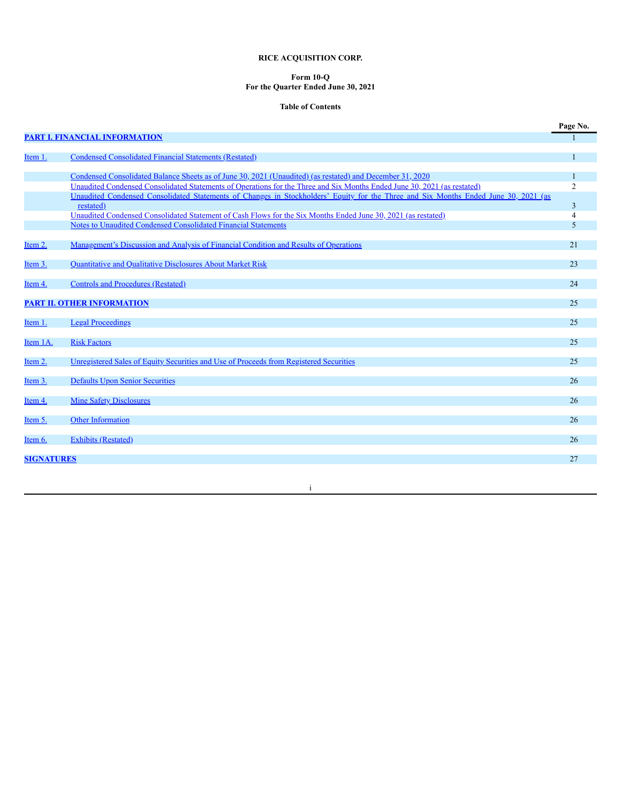# **RICE ACQUISITION CORP.**

#### **Form 10-Q For the Quarter Ended June 30, 2021**

# **Table of Contents**

|                     |                                                                                                                                                                                 | Page No.       |
|---------------------|---------------------------------------------------------------------------------------------------------------------------------------------------------------------------------|----------------|
|                     | <b>PART I. FINANCIAL INFORMATION</b>                                                                                                                                            |                |
|                     |                                                                                                                                                                                 |                |
| Item 1.             | <b>Condensed Consolidated Financial Statements (Restated)</b>                                                                                                                   |                |
|                     |                                                                                                                                                                                 |                |
|                     | Condensed Consolidated Balance Sheets as of June 30, 2021 (Unaudited) (as restated) and December 31, 2020                                                                       |                |
|                     | Unaudited Condensed Consolidated Statements of Operations for the Three and Six Months Ended June 30, 2021 (as restated)                                                        | $\overline{2}$ |
|                     | Unaudited Condensed Consolidated Statements of Changes in Stockholders' Equity for the Three and Six Months Ended June 30, 2021 (as                                             |                |
|                     | restated)                                                                                                                                                                       | 3              |
|                     | Unaudited Condensed Consolidated Statement of Cash Flows for the Six Months Ended June 30, 2021 (as restated)<br>Notes to Unaudited Condensed Consolidated Financial Statements | 4              |
|                     |                                                                                                                                                                                 | 5              |
| Item 2.             | Management's Discussion and Analysis of Financial Condition and Results of Operations                                                                                           | 21             |
|                     |                                                                                                                                                                                 |                |
| Item <sub>3</sub> . | Quantitative and Qualitative Disclosures About Market Risk                                                                                                                      | 23             |
|                     |                                                                                                                                                                                 |                |
| Item 4.             | <b>Controls and Procedures (Restated)</b>                                                                                                                                       | 24             |
|                     |                                                                                                                                                                                 |                |
|                     | <b>PART II. OTHER INFORMATION</b>                                                                                                                                               | 25             |
|                     |                                                                                                                                                                                 |                |
| Item 1.             | <b>Legal Proceedings</b>                                                                                                                                                        | 25             |
|                     |                                                                                                                                                                                 |                |
| Item 1A.            | <b>Risk Factors</b>                                                                                                                                                             | 25             |
|                     |                                                                                                                                                                                 |                |
| Item 2.             | Unregistered Sales of Equity Securities and Use of Proceeds from Registered Securities                                                                                          | 25             |
|                     |                                                                                                                                                                                 | 26             |
| Item 3.             | <b>Defaults Upon Senior Securities</b>                                                                                                                                          |                |
| Item 4.             | <b>Mine Safety Disclosures</b>                                                                                                                                                  | 26             |
|                     |                                                                                                                                                                                 |                |
| Item 5.             | Other Information                                                                                                                                                               | 26             |
|                     |                                                                                                                                                                                 |                |
| Item 6.             | <b>Exhibits (Restated)</b>                                                                                                                                                      | 26             |
|                     |                                                                                                                                                                                 |                |
| <b>SIGNATURES</b>   |                                                                                                                                                                                 | 27             |
|                     |                                                                                                                                                                                 |                |

i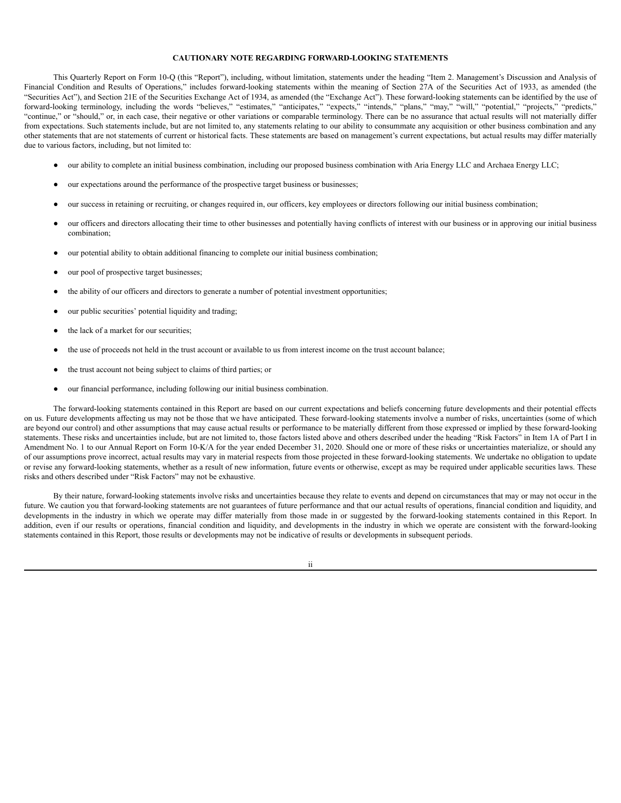# **CAUTIONARY NOTE REGARDING FORWARD-LOOKING STATEMENTS**

This Quarterly Report on Form 10-Q (this "Report"), including, without limitation, statements under the heading "Item 2. Management's Discussion and Analysis of Financial Condition and Results of Operations," includes forward-looking statements within the meaning of Section 27A of the Securities Act of 1933, as amended (the "Securities Act"), and Section 21E of the Securities Exchange Act of 1934, as amended (the "Exchange Act"). These forward-looking statements can be identified by the use of forward-looking terminology, including the words "believes," "estimates," "anticipates," "expects," "intends," "plans," "may," "will," "potential," "projects," "predicts," "continue," or "should," or, in each case, their negative or other variations or comparable terminology. There can be no assurance that actual results will not materially differ from expectations. Such statements include, but are not limited to, any statements relating to our ability to consummate any acquisition or other business combination and any other statements that are not statements of current or historical facts. These statements are based on management's current expectations, but actual results may differ materially due to various factors, including, but not limited to:

- our ability to complete an initial business combination, including our proposed business combination with Aria Energy LLC and Archaea Energy LLC;
- our expectations around the performance of the prospective target business or businesses;
- our success in retaining or recruiting, or changes required in, our officers, key employees or directors following our initial business combination;
- our officers and directors allocating their time to other businesses and potentially having conflicts of interest with our business or in approving our initial business combination;
- our potential ability to obtain additional financing to complete our initial business combination;
- our pool of prospective target businesses;
- the ability of our officers and directors to generate a number of potential investment opportunities;
- our public securities' potential liquidity and trading;
- the lack of a market for our securities;
- the use of proceeds not held in the trust account or available to us from interest income on the trust account balance;
- the trust account not being subject to claims of third parties; or
- our financial performance, including following our initial business combination.

The forward-looking statements contained in this Report are based on our current expectations and beliefs concerning future developments and their potential effects on us. Future developments affecting us may not be those that we have anticipated. These forward-looking statements involve a number of risks, uncertainties (some of which are beyond our control) and other assumptions that may cause actual results or performance to be materially different from those expressed or implied by these forward-looking statements. These risks and uncertainties include, but are not limited to, those factors listed above and others described under the heading "Risk Factors" in Item 1A of Part I in Amendment No. 1 to our Annual Report on Form 10-K/A for the year ended December 31, 2020. Should one or more of these risks or uncertainties materialize, or should any of our assumptions prove incorrect, actual results may vary in material respects from those projected in these forward-looking statements. We undertake no obligation to update or revise any forward-looking statements, whether as a result of new information, future events or otherwise, except as may be required under applicable securities laws. These risks and others described under "Risk Factors" may not be exhaustive.

By their nature, forward-looking statements involve risks and uncertainties because they relate to events and depend on circumstances that may or may not occur in the future. We caution you that forward-looking statements are not guarantees of future performance and that our actual results of operations, financial condition and liquidity, and developments in the industry in which we operate may differ materially from those made in or suggested by the forward-looking statements contained in this Report. In addition, even if our results or operations, financial condition and liquidity, and developments in the industry in which we operate are consistent with the forward-looking statements contained in this Report, those results or developments may not be indicative of results or developments in subsequent periods.

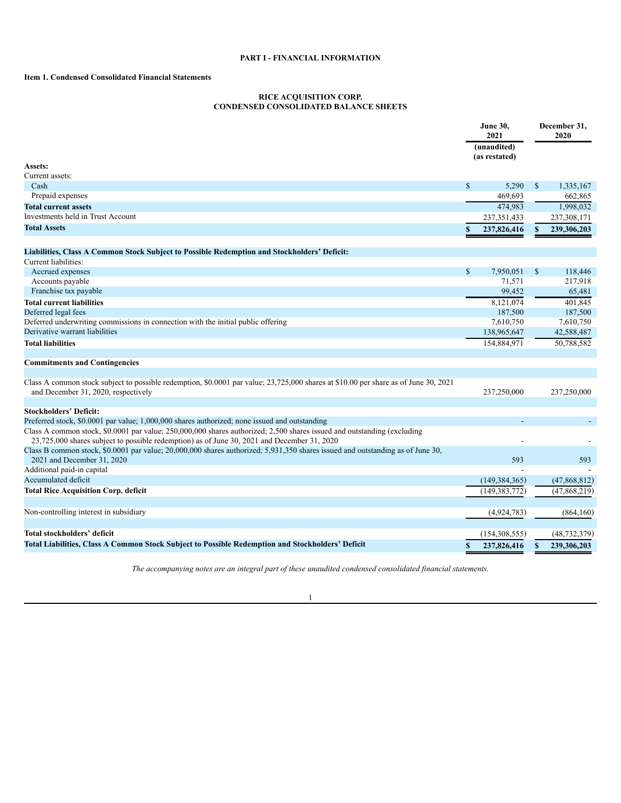# **PART I - FINANCIAL INFORMATION**

# <span id="page-4-2"></span><span id="page-4-1"></span><span id="page-4-0"></span>**Item 1. Condensed Consolidated Financial Statements**

#### **RICE ACQUISITION CORP. CONDENSED CONSOLIDATED BALANCE SHEETS**

|                                                                                                                                                                                                                        |              | <b>June 30,</b><br>2021<br>(unaudited) |               | December 31,<br>2020 |
|------------------------------------------------------------------------------------------------------------------------------------------------------------------------------------------------------------------------|--------------|----------------------------------------|---------------|----------------------|
|                                                                                                                                                                                                                        |              | (as restated)                          |               |                      |
| Assets:                                                                                                                                                                                                                |              |                                        |               |                      |
| Current assets:                                                                                                                                                                                                        |              |                                        |               |                      |
| Cash                                                                                                                                                                                                                   | \$           | 5,290                                  | \$            | 1,335,167            |
| Prepaid expenses                                                                                                                                                                                                       |              | 469,693                                |               | 662,865              |
| <b>Total current assets</b>                                                                                                                                                                                            |              | 474,983                                |               | 1,998,032            |
| Investments held in Trust Account                                                                                                                                                                                      |              | 237, 351, 433                          |               | 237,308,171          |
| <b>Total Assets</b>                                                                                                                                                                                                    | \$           | 237,826,416                            | \$            | 239,306,203          |
| Liabilities, Class A Common Stock Subject to Possible Redemption and Stockholders' Deficit:                                                                                                                            |              |                                        |               |                      |
| Current liabilities:                                                                                                                                                                                                   |              |                                        |               |                      |
| Accrued expenses                                                                                                                                                                                                       | $\mathbb{S}$ | 7,950,051                              | <sup>\$</sup> | 118,446              |
| Accounts payable                                                                                                                                                                                                       |              | 71,571                                 |               | 217,918              |
| Franchise tax payable                                                                                                                                                                                                  |              | 99,452                                 |               | 65,481               |
| <b>Total current liabilities</b>                                                                                                                                                                                       |              | 8,121,074                              |               | 401,845              |
| Deferred legal fees                                                                                                                                                                                                    |              | 187,500                                |               | 187,500              |
| Deferred underwriting commissions in connection with the initial public offering                                                                                                                                       |              | 7,610,750                              |               | 7,610,750            |
| Derivative warrant liabilities                                                                                                                                                                                         |              | 138,965,647                            |               | 42,588,487           |
| <b>Total liabilities</b>                                                                                                                                                                                               |              | 154,884,971                            |               | 50,788,582           |
| <b>Commitments and Contingencies</b>                                                                                                                                                                                   |              |                                        |               |                      |
|                                                                                                                                                                                                                        |              |                                        |               |                      |
| Class A common stock subject to possible redemption, \$0.0001 par value; 23,725,000 shares at \$10.00 per share as of June 30, 2021<br>and December 31, 2020, respectively                                             |              | 237,250,000                            |               | 237,250,000          |
| <b>Stockholders' Deficit:</b>                                                                                                                                                                                          |              |                                        |               |                      |
| Preferred stock, \$0.0001 par value; 1,000,000 shares authorized; none issued and outstanding                                                                                                                          |              |                                        |               |                      |
| Class A common stock, \$0.0001 par value; 250,000,000 shares authorized; 2,500 shares issued and outstanding (excluding<br>23,725,000 shares subject to possible redemption) as of June 30, 2021 and December 31, 2020 |              |                                        |               |                      |
| Class B common stock, \$0.0001 par value; 20,000,000 shares authorized; 5,931,350 shares issued and outstanding as of June 30,<br>2021 and December 31, 2020                                                           |              | 593                                    |               | 593                  |
| Additional paid-in capital                                                                                                                                                                                             |              |                                        |               |                      |
| Accumulated deficit                                                                                                                                                                                                    |              | (149, 384, 365)                        |               | (47,868,812)         |
| <b>Total Rice Acquisition Corp. deficit</b>                                                                                                                                                                            |              | (149, 383, 772)                        |               | (47,868,219)         |
| Non-controlling interest in subsidiary                                                                                                                                                                                 |              | (4,924,783)                            |               | (864, 160)           |
|                                                                                                                                                                                                                        |              |                                        |               |                      |
| Total stockholders' deficit                                                                                                                                                                                            |              | (154, 308, 555)                        |               | (48, 732, 379)       |
| Total Liabilities, Class A Common Stock Subject to Possible Redemption and Stockholders' Deficit                                                                                                                       | \$           | 237,826,416                            | \$            | 239,306,203          |

*The accompanying notes are an integral part of these unaudited condensed consolidated financial statements.*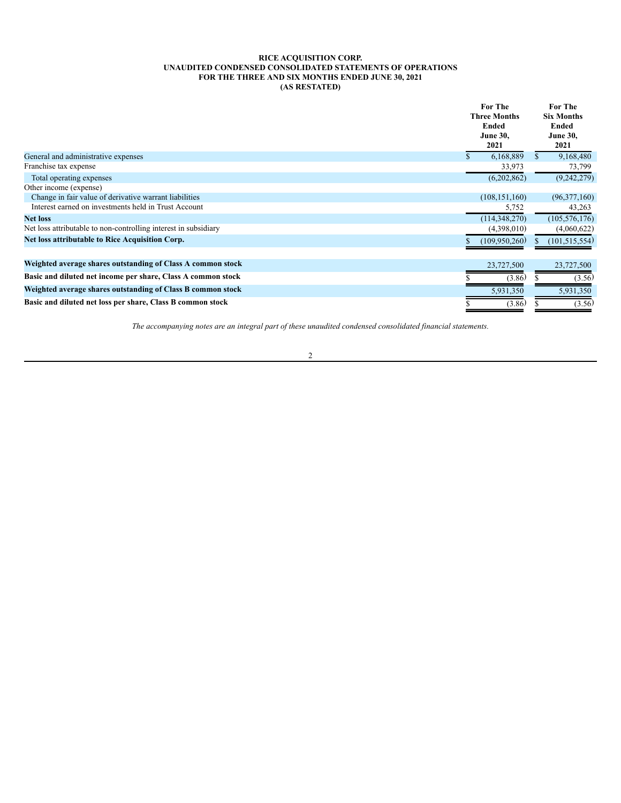# **RICE ACQUISITION CORP. UNAUDITED CONDENSED CONSOLIDATED STATEMENTS OF OPERATIONS FOR THE THREE AND SIX MONTHS ENDED JUNE 30, 2021 (AS RESTATED)**

<span id="page-5-0"></span>

|                                                                 | <b>For The</b><br><b>Three Months</b><br><b>Ended</b><br><b>June 30,</b><br>2021 | <b>For The</b><br><b>Six Months</b><br>Ended<br><b>June 30,</b><br>2021 |
|-----------------------------------------------------------------|----------------------------------------------------------------------------------|-------------------------------------------------------------------------|
| General and administrative expenses                             | 6,168,889                                                                        | 9,168,480                                                               |
| Franchise tax expense                                           | 33,973                                                                           | 73,799                                                                  |
| Total operating expenses                                        | (6,202,862)                                                                      | (9,242,279)                                                             |
| Other income (expense)                                          |                                                                                  |                                                                         |
| Change in fair value of derivative warrant liabilities          | (108, 151, 160)                                                                  | (96,377,160)                                                            |
| Interest earned on investments held in Trust Account            | 5,752                                                                            | 43,263                                                                  |
| <b>Net loss</b>                                                 | (114, 348, 270)                                                                  | (105, 576, 176)                                                         |
| Net loss attributable to non-controlling interest in subsidiary | (4,398,010)                                                                      | (4,060,622)                                                             |
| Net loss attributable to Rice Acquisition Corp.                 | (109,950,260)                                                                    | (101, 515, 554)                                                         |
| Weighted average shares outstanding of Class A common stock     | 23,727,500                                                                       | 23,727,500                                                              |
| Basic and diluted net income per share, Class A common stock    | (3.86)                                                                           | (3.56)                                                                  |
| Weighted average shares outstanding of Class B common stock     | 5,931,350                                                                        | 5,931,350                                                               |
| Basic and diluted net loss per share, Class B common stock      | (3.86)                                                                           | (3.56)                                                                  |

*The accompanying notes are an integral part of these unaudited condensed consolidated financial statements.*

2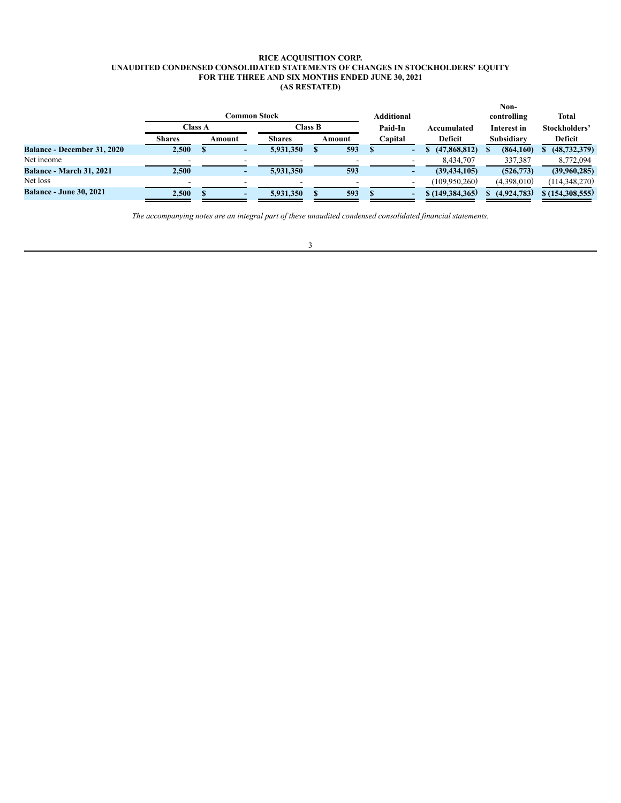### **RICE ACQUISITION CORP. UNAUDITED CONDENSED CONSOLIDATED STATEMENTS OF CHANGES IN STOCKHOLDERS' EQUITY FOR THE THREE AND SIX MONTHS ENDED JUNE 30, 2021 (AS RESTATED)**

<span id="page-6-0"></span>

|                                    |                |        |                      |        |                   |                   | Non-        |                 |
|------------------------------------|----------------|--------|----------------------|--------|-------------------|-------------------|-------------|-----------------|
|                                    |                |        | C <b>ommon Stock</b> |        | <b>Additional</b> |                   | controlling | <b>Total</b>    |
|                                    | <b>Class A</b> |        | <b>Class B</b>       |        | Paid-In           | Accumulated       | Interest in | Stockholders'   |
|                                    | <b>Shares</b>  | Amount | <b>Shares</b>        | Amount | Capital           | Deficit           | Subsidiary  | Deficit         |
| <b>Balance - December 31, 2020</b> | 2,500          |        | 5,931,350            | 593    | -                 | (47,868,812)      | (864,160)   | (48, 732, 379)  |
| Net income                         |                |        |                      |        |                   | 8,434,707         | 337,387     | 8,772,094       |
| <b>Balance - March 31, 2021</b>    | 2.500          |        | 5,931,350            | 593    |                   | (39, 434, 105)    | (526, 773)  | (39,960,285)    |
| Net loss                           |                |        |                      |        |                   | (109,950,260)     | (4,398,010) | (114, 348, 270) |
| <b>Balance - June 30, 2021</b>     | 2,500          |        | 5.931.350            | 593    |                   | \$(149, 384, 365) | (4,924,783) | \$(154,308,555) |

*The accompanying notes are an integral part of these unaudited condensed consolidated financial statements.*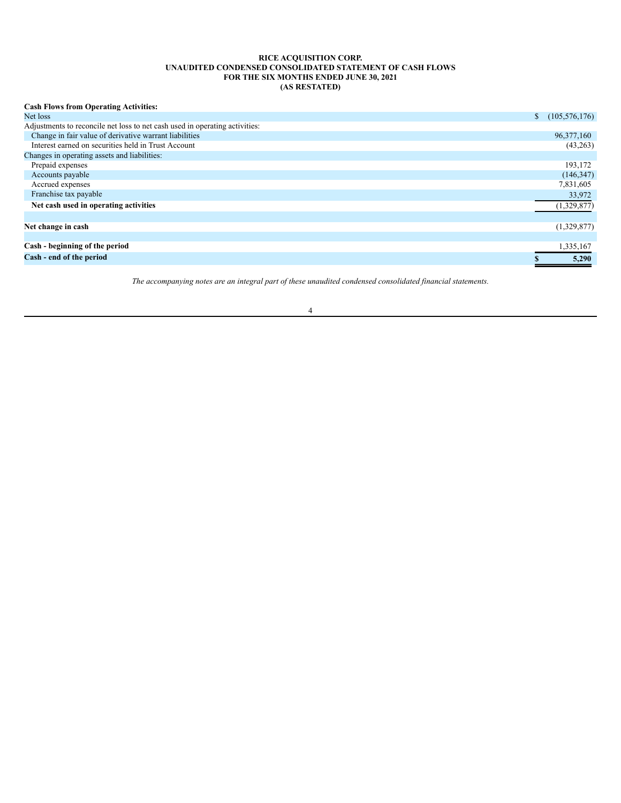## **RICE ACQUISITION CORP. UNAUDITED CONDENSED CONSOLIDATED STATEMENT OF CASH FLOWS FOR THE SIX MONTHS ENDED JUNE 30, 2021 (AS RESTATED)**

<span id="page-7-0"></span>

| <b>Cash Flows from Operating Activities:</b>                                |                 |
|-----------------------------------------------------------------------------|-----------------|
| Net loss<br>S.                                                              | (105, 576, 176) |
| Adjustments to reconcile net loss to net cash used in operating activities: |                 |
| Change in fair value of derivative warrant liabilities                      | 96,377,160      |
| Interest earned on securities held in Trust Account                         | (43,263)        |
| Changes in operating assets and liabilities:                                |                 |
| Prepaid expenses                                                            | 193,172         |
| Accounts payable                                                            | (146, 347)      |
| Accrued expenses                                                            | 7,831,605       |
| Franchise tax payable                                                       | 33,972          |
| Net cash used in operating activities                                       | (1,329,877)     |
|                                                                             |                 |
| Net change in cash                                                          | (1,329,877)     |
|                                                                             |                 |
| Cash - beginning of the period                                              | 1,335,167       |
| Cash - end of the period                                                    | 5,290           |

*The accompanying notes are an integral part of these unaudited condensed consolidated financial statements.*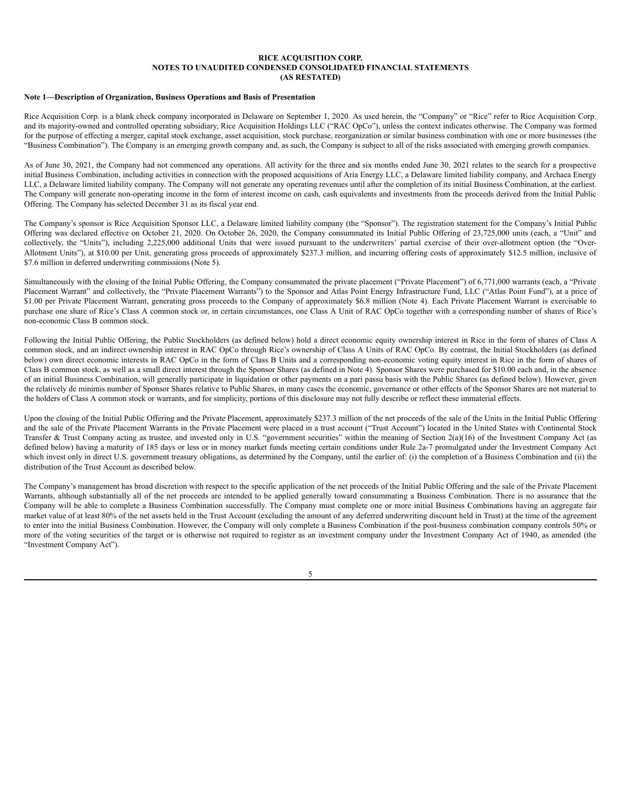### <span id="page-8-0"></span>**Note 1—Description of Organization, Business Operations and Basis of Presentation**

Rice Acquisition Corp. is a blank check company incorporated in Delaware on September 1, 2020. As used herein, the "Company" or "Rice" refer to Rice Acquisition Corp. and its majority-owned and controlled operating subsidiary, Rice Acquisition Holdings LLC ("RAC OpCo"), unless the context indicates otherwise. The Company was formed for the purpose of effecting a merger, capital stock exchange, asset acquisition, stock purchase, reorganization or similar business combination with one or more businesses (the "Business Combination"). The Company is an emerging growth company and, as such, the Company is subject to all of the risks associated with emerging growth companies.

As of June 30, 2021, the Company had not commenced any operations. All activity for the three and six months ended June 30, 2021 relates to the search for a prospective initial Business Combination, including activities in connection with the proposed acquisitions of Aria Energy LLC, a Delaware limited liability company, and Archaea Energy LLC, a Delaware limited liability company. The Company will not generate any operating revenues until after the completion of its initial Business Combination, at the earliest. The Company will generate non-operating income in the form of interest income on cash, cash equivalents and investments from the proceeds derived from the Initial Public Offering. The Company has selected December 31 as its fiscal year end.

The Company's sponsor is Rice Acquisition Sponsor LLC, a Delaware limited liability company (the "Sponsor"). The registration statement for the Company's Initial Public Offering was declared effective on October 21, 2020. On October 26, 2020, the Company consummated its Initial Public Offering of 23,725,000 units (each, a "Unit" and collectively, the "Units"), including 2,225,000 additional Units that were issued pursuant to the underwriters' partial exercise of their over-allotment option (the "Over-Allotment Units"), at \$10.00 per Unit, generating gross proceeds of approximately \$237.3 million, and incurring offering costs of approximately \$12.5 million, inclusive of \$7.6 million in deferred underwriting commissions (Note 5).

Simultaneously with the closing of the Initial Public Offering, the Company consummated the private placement ("Private Placement") of 6,771,000 warrants (each, a "Private Placement Warrant" and collectively, the "Private Placement Warrants") to the Sponsor and Atlas Point Energy Infrastructure Fund, LLC ("Atlas Point Fund"), at a price of \$1.00 per Private Placement Warrant, generating gross proceeds to the Company of approximately \$6.8 million (Note 4). Each Private Placement Warrant is exercisable to purchase one share of Rice's Class A common stock or, in certain circumstances, one Class A Unit of RAC OpCo together with a corresponding number of shares of Rice's non-economic Class B common stock.

Following the Initial Public Offering, the Public Stockholders (as defined below) hold a direct economic equity ownership interest in Rice in the form of shares of Class A common stock, and an indirect ownership interest in RAC OpCo through Rice's ownership of Class A Units of RAC OpCo. By contrast, the Initial Stockholders (as defined below) own direct economic interests in RAC OpCo in the form of Class B Units and a corresponding non-economic voting equity interest in Rice in the form of shares of Class B common stock, as well as a small direct interest through the Sponsor Shares (as defined in Note 4). Sponsor Shares were purchased for \$10.00 each and, in the absence of an initial Business Combination, will generally participate in liquidation or other payments on a pari passu basis with the Public Shares (as defined below). However, given the relatively de minimis number of Sponsor Shares relative to Public Shares, in many cases the economic, governance or other effects of the Sponsor Shares are not material to the holders of Class A common stock or warrants, and for simplicity, portions of this disclosure may not fully describe or reflect these immaterial effects.

Upon the closing of the Initial Public Offering and the Private Placement, approximately \$237.3 million of the net proceeds of the sale of the Units in the Initial Public Offering and the sale of the Private Placement Warrants in the Private Placement were placed in a trust account ("Trust Account") located in the United States with Continental Stock Transfer & Trust Company acting as trustee, and invested only in U.S. "government securities" within the meaning of Section 2(a)(16) of the Investment Company Act (as defined below) having a maturity of 185 days or less or in money market funds meeting certain conditions under Rule 2a-7 promulgated under the Investment Company Act which invest only in direct U.S. government treasury obligations, as determined by the Company, until the earlier of: (i) the completion of a Business Combination and (ii) the distribution of the Trust Account as described below.

The Company's management has broad discretion with respect to the specific application of the net proceeds of the Initial Public Offering and the sale of the Private Placement Warrants, although substantially all of the net proceeds are intended to be applied generally toward consummating a Business Combination. There is no assurance that the Company will be able to complete a Business Combination successfully. The Company must complete one or more initial Business Combinations having an aggregate fair market value of at least 80% of the net assets held in the Trust Account (excluding the amount of any deferred underwriting discount held in Trust) at the time of the agreement to enter into the initial Business Combination. However, the Company will only complete a Business Combination if the post-business combination company controls 50% or more of the voting securities of the target or is otherwise not required to register as an investment company under the Investment Company Act of 1940, as amended (the "Investment Company Act").

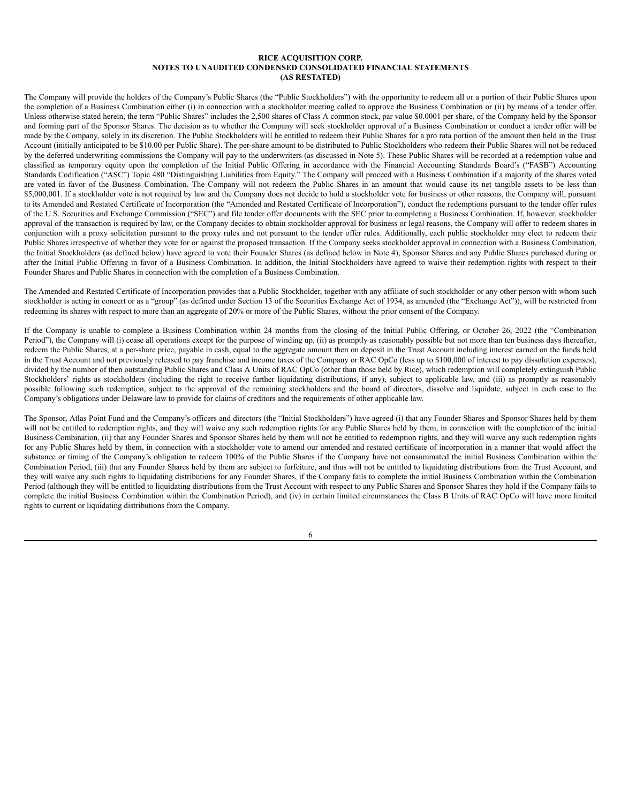The Company will provide the holders of the Company's Public Shares (the "Public Stockholders") with the opportunity to redeem all or a portion of their Public Shares upon the completion of a Business Combination either (i) in connection with a stockholder meeting called to approve the Business Combination or (ii) by means of a tender offer. Unless otherwise stated herein, the term "Public Shares" includes the 2,500 shares of Class A common stock, par value \$0.0001 per share, of the Company held by the Sponsor and forming part of the Sponsor Shares. The decision as to whether the Company will seek stockholder approval of a Business Combination or conduct a tender offer will be made by the Company, solely in its discretion. The Public Stockholders will be entitled to redeem their Public Shares for a pro rata portion of the amount then held in the Trust Account (initially anticipated to be \$10.00 per Public Share). The per-share amount to be distributed to Public Stockholders who redeem their Public Shares will not be reduced by the deferred underwriting commissions the Company will pay to the underwriters (as discussed in Note 5). These Public Shares will be recorded at a redemption value and classified as temporary equity upon the completion of the Initial Public Offering in accordance with the Financial Accounting Standards Board's ("FASB") Accounting Standards Codification ("ASC") Topic 480 "Distinguishing Liabilities from Equity." The Company will proceed with a Business Combination if a majority of the shares voted are voted in favor of the Business Combination. The Company will not redeem the Public Shares in an amount that would cause its net tangible assets to be less than \$5,000,001. If a stockholder vote is not required by law and the Company does not decide to hold a stockholder vote for business or other reasons, the Company will, pursuant to its Amended and Restated Certificate of Incorporation (the "Amended and Restated Certificate of Incorporation"), conduct the redemptions pursuant to the tender offer rules of the U.S. Securities and Exchange Commission ("SEC") and file tender offer documents with the SEC prior to completing a Business Combination. If, however, stockholder approval of the transaction is required by law, or the Company decides to obtain stockholder approval for business or legal reasons, the Company will offer to redeem shares in conjunction with a proxy solicitation pursuant to the proxy rules and not pursuant to the tender offer rules. Additionally, each public stockholder may elect to redeem their Public Shares irrespective of whether they vote for or against the proposed transaction. If the Company seeks stockholder approval in connection with a Business Combination, the Initial Stockholders (as defined below) have agreed to vote their Founder Shares (as defined below in Note 4), Sponsor Shares and any Public Shares purchased during or after the Initial Public Offering in favor of a Business Combination. In addition, the Initial Stockholders have agreed to waive their redemption rights with respect to their Founder Shares and Public Shares in connection with the completion of a Business Combination.

The Amended and Restated Certificate of Incorporation provides that a Public Stockholder, together with any affiliate of such stockholder or any other person with whom such stockholder is acting in concert or as a "group" (as defined under Section 13 of the Securities Exchange Act of 1934, as amended (the "Exchange Act")), will be restricted from redeeming its shares with respect to more than an aggregate of 20% or more of the Public Shares, without the prior consent of the Company.

If the Company is unable to complete a Business Combination within 24 months from the closing of the Initial Public Offering, or October 26, 2022 (the "Combination Period"), the Company will (i) cease all operations except for the purpose of winding up, (ii) as promptly as reasonably possible but not more than ten business days thereafter, redeem the Public Shares, at a per-share price, payable in cash, equal to the aggregate amount then on deposit in the Trust Account including interest earned on the funds held in the Trust Account and not previously released to pay franchise and income taxes of the Company or RAC OpCo (less up to \$100,000 of interest to pay dissolution expenses), divided by the number of then outstanding Public Shares and Class A Units of RAC OpCo (other than those held by Rice), which redemption will completely extinguish Public Stockholders' rights as stockholders (including the right to receive further liquidating distributions, if any), subject to applicable law, and (iii) as promptly as reasonably possible following such redemption, subject to the approval of the remaining stockholders and the board of directors, dissolve and liquidate, subject in each case to the Company's obligations under Delaware law to provide for claims of creditors and the requirements of other applicable law.

The Sponsor, Atlas Point Fund and the Company's officers and directors (the "Initial Stockholders") have agreed (i) that any Founder Shares and Sponsor Shares held by them will not be entitled to redemption rights, and they will waive any such redemption rights for any Public Shares held by them, in connection with the completion of the initial Business Combination, (ii) that any Founder Shares and Sponsor Shares held by them will not be entitled to redemption rights, and they will waive any such redemption rights for any Public Shares held by them, in connection with a stockholder vote to amend our amended and restated certificate of incorporation in a manner that would affect the substance or timing of the Company's obligation to redeem 100% of the Public Shares if the Company have not consummated the initial Business Combination within the Combination Period, (iii) that any Founder Shares held by them are subject to forfeiture, and thus will not be entitled to liquidating distributions from the Trust Account, and they will waive any such rights to liquidating distributions for any Founder Shares, if the Company fails to complete the initial Business Combination within the Combination Period (although they will be entitled to liquidating distributions from the Trust Account with respect to any Public Shares and Sponsor Shares they hold if the Company fails to complete the initial Business Combination within the Combination Period), and (iv) in certain limited circumstances the Class B Units of RAC OpCo will have more limited rights to current or liquidating distributions from the Company.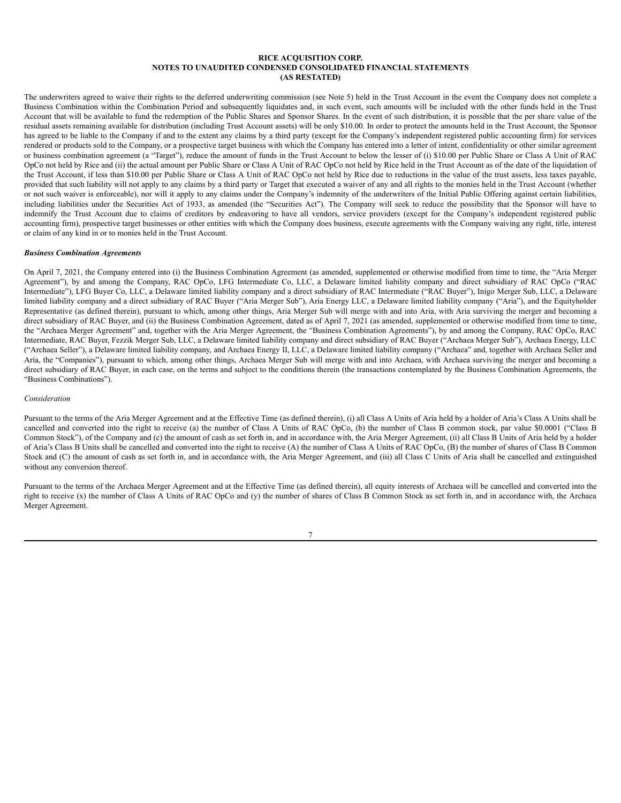The underwriters agreed to waive their rights to the deferred underwriting commission (see Note 5) held in the Trust Account in the event the Company does not complete a Business Combination within the Combination Period and subsequently liquidates and, in such event, such amounts will be included with the other funds held in the Trust Account that will be available to fund the redemption of the Public Shares and Sponsor Shares. In the event of such distribution, it is possible that the per share value of the residual assets remaining available for distribution (including Trust Account assets) will be only \$10.00. In order to protect the amounts held in the Trust Account, the Sponsor has agreed to be liable to the Company if and to the extent any claims by a third party (except for the Company's independent registered public accounting firm) for services rendered or products sold to the Company, or a prospective target business with which the Company has entered into a letter of intent, confidentiality or other similar agreement or business combination agreement (a "Target"), reduce the amount of funds in the Trust Account to below the lesser of (i) \$10.00 per Public Share or Class A Unit of RAC OpCo not held by Rice and (ii) the actual amount per Public Share or Class A Unit of RAC OpCo not held by Rice held in the Trust Account as of the date of the liquidation of the Trust Account, if less than \$10.00 per Public Share or Class A Unit of RAC OpCo not held by Rice due to reductions in the value of the trust assets, less taxes payable, provided that such liability will not apply to any claims by a third party or Target that executed a waiver of any and all rights to the monies held in the Trust Account (whether or not such waiver is enforceable), nor will it apply to any claims under the Company's indemnity of the underwriters of the Initial Public Offering against certain liabilities, including liabilities under the Securities Act of 1933, as amended (the "Securities Act"). The Company will seek to reduce the possibility that the Sponsor will have to indemnify the Trust Account due to claims of creditors by endeavoring to have all vendors, service providers (except for the Company's independent registered public accounting firm), prospective target businesses or other entities with which the Company does business, execute agreements with the Company waiving any right, title, interest or claim of any kind in or to monies held in the Trust Account.

### *Business Combination Agreements*

On April 7, 2021, the Company entered into (i) the Business Combination Agreement (as amended, supplemented or otherwise modified from time to time, the "Aria Merger Agreement"), by and among the Company, RAC OpCo, LFG Intermediate Co, LLC, a Delaware limited liability company and direct subsidiary of RAC OpCo ("RAC Intermediate"), LFG Buyer Co, LLC, a Delaware limited liability company and a direct subsidiary of RAC Intermediate ("RAC Buyer"), Inigo Merger Sub, LLC, a Delaware limited liability company and a direct subsidiary of RAC Buyer ("Aria Merger Sub"), Aria Energy LLC, a Delaware limited liability company ("Aria"), and the Equityholder Representative (as defined therein), pursuant to which, among other things, Aria Merger Sub will merge with and into Aria, with Aria surviving the merger and becoming a direct subsidiary of RAC Buyer, and (ii) the Business Combination Agreement, dated as of April 7, 2021 (as amended, supplemented or otherwise modified from time to time, the "Archaea Merger Agreement" and, together with the Aria Merger Agreement, the "Business Combination Agreements"), by and among the Company, RAC OpCo, RAC Intermediate, RAC Buyer, Fezzik Merger Sub, LLC, a Delaware limited liability company and direct subsidiary of RAC Buyer ("Archaea Merger Sub"), Archaea Energy, LLC ("Archaea Seller"), a Delaware limited liability company, and Archaea Energy II, LLC, a Delaware limited liability company ("Archaea" and, together with Archaea Seller and Aria, the "Companies"), pursuant to which, among other things, Archaea Merger Sub will merge with and into Archaea, with Archaea surviving the merger and becoming a direct subsidiary of RAC Buyer, in each case, on the terms and subject to the conditions therein (the transactions contemplated by the Business Combination Agreements, the "Business Combinations").

### *Consideration*

Pursuant to the terms of the Aria Merger Agreement and at the Effective Time (as defined therein), (i) all Class A Units of Aria held by a holder of Aria's Class A Units shall be cancelled and converted into the right to receive (a) the number of Class A Units of RAC OpCo, (b) the number of Class B common stock, par value \$0.0001 ("Class B Common Stock"), of the Company and (c) the amount of cash as set forth in, and in accordance with, the Aria Merger Agreement, (ii) all Class B Units of Aria held by a holder of Aria's Class B Units shall be cancelled and converted into the right to receive (A) the number of Class A Units of RAC OpCo, (B) the number of shares of Class B Common Stock and (C) the amount of cash as set forth in, and in accordance with, the Aria Merger Agreement, and (iii) all Class C Units of Aria shall be cancelled and extinguished without any conversion thereof.

Pursuant to the terms of the Archaea Merger Agreement and at the Effective Time (as defined therein), all equity interests of Archaea will be cancelled and converted into the right to receive (x) the number of Class A Units of RAC OpCo and (y) the number of shares of Class B Common Stock as set forth in, and in accordance with, the Archaea Merger Agreement.

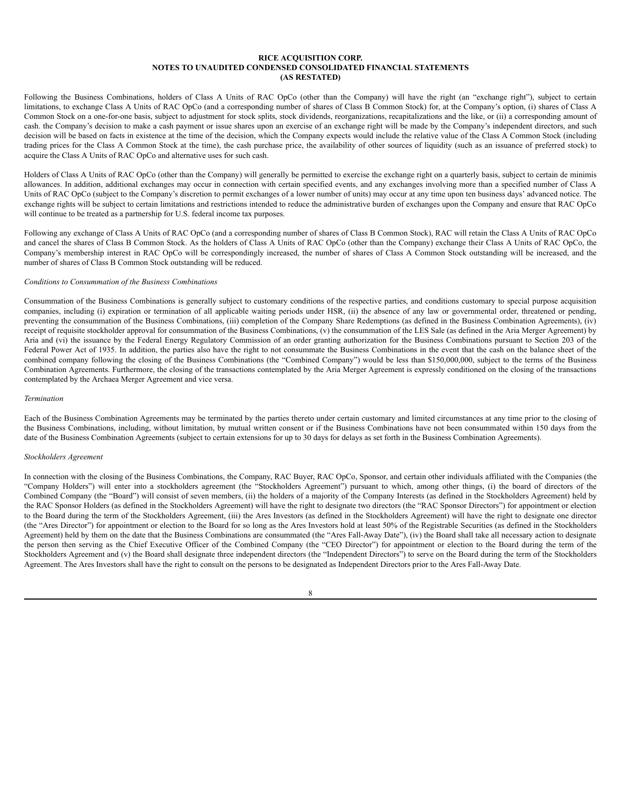Following the Business Combinations, holders of Class A Units of RAC OpCo (other than the Company) will have the right (an "exchange right"), subject to certain limitations, to exchange Class A Units of RAC OpCo (and a corresponding number of shares of Class B Common Stock) for, at the Company's option, (i) shares of Class A Common Stock on a one-for-one basis, subject to adjustment for stock splits, stock dividends, reorganizations, recapitalizations and the like, or (ii) a corresponding amount of cash. the Company's decision to make a cash payment or issue shares upon an exercise of an exchange right will be made by the Company's independent directors, and such decision will be based on facts in existence at the time of the decision, which the Company expects would include the relative value of the Class A Common Stock (including trading prices for the Class A Common Stock at the time), the cash purchase price, the availability of other sources of liquidity (such as an issuance of preferred stock) to acquire the Class A Units of RAC OpCo and alternative uses for such cash.

Holders of Class A Units of RAC OpCo (other than the Company) will generally be permitted to exercise the exchange right on a quarterly basis, subject to certain de minimis allowances. In addition, additional exchanges may occur in connection with certain specified events, and any exchanges involving more than a specified number of Class A Units of RAC OpCo (subject to the Company's discretion to permit exchanges of a lower number of units) may occur at any time upon ten business days' advanced notice. The exchange rights will be subject to certain limitations and restrictions intended to reduce the administrative burden of exchanges upon the Company and ensure that RAC OpCo will continue to be treated as a partnership for U.S. federal income tax purposes.

Following any exchange of Class A Units of RAC OpCo (and a corresponding number of shares of Class B Common Stock), RAC will retain the Class A Units of RAC OpCo and cancel the shares of Class B Common Stock. As the holders of Class A Units of RAC OpCo (other than the Company) exchange their Class A Units of RAC OpCo, the Company's membership interest in RAC OpCo will be correspondingly increased, the number of shares of Class A Common Stock outstanding will be increased, and the number of shares of Class B Common Stock outstanding will be reduced.

#### *Conditions to Consummation of the Business Combinations*

Consummation of the Business Combinations is generally subject to customary conditions of the respective parties, and conditions customary to special purpose acquisition companies, including (i) expiration or termination of all applicable waiting periods under HSR, (ii) the absence of any law or governmental order, threatened or pending, preventing the consummation of the Business Combinations, (iii) completion of the Company Share Redemptions (as defined in the Business Combination Agreements), (iv) receipt of requisite stockholder approval for consummation of the Business Combinations, (v) the consummation of the LES Sale (as defined in the Aria Merger Agreement) by Aria and (vi) the issuance by the Federal Energy Regulatory Commission of an order granting authorization for the Business Combinations pursuant to Section 203 of the Federal Power Act of 1935. In addition, the parties also have the right to not consummate the Business Combinations in the event that the cash on the balance sheet of the combined company following the closing of the Business Combinations (the "Combined Company") would be less than \$150,000,000, subject to the terms of the Business Combination Agreements. Furthermore, the closing of the transactions contemplated by the Aria Merger Agreement is expressly conditioned on the closing of the transactions contemplated by the Archaea Merger Agreement and vice versa.

#### *Termination*

Each of the Business Combination Agreements may be terminated by the parties thereto under certain customary and limited circumstances at any time prior to the closing of the Business Combinations, including, without limitation, by mutual written consent or if the Business Combinations have not been consummated within 150 days from the date of the Business Combination Agreements (subject to certain extensions for up to 30 days for delays as set forth in the Business Combination Agreements).

## *Stockholders Agreement*

In connection with the closing of the Business Combinations, the Company, RAC Buyer, RAC OpCo, Sponsor, and certain other individuals affiliated with the Companies (the "Company Holders") will enter into a stockholders agreement (the "Stockholders Agreement") pursuant to which, among other things, (i) the board of directors of the Combined Company (the "Board") will consist of seven members, (ii) the holders of a majority of the Company Interests (as defined in the Stockholders Agreement) held by the RAC Sponsor Holders (as defined in the Stockholders Agreement) will have the right to designate two directors (the "RAC Sponsor Directors") for appointment or election to the Board during the term of the Stockholders Agreement, (iii) the Ares Investors (as defined in the Stockholders Agreement) will have the right to designate one director (the "Ares Director") for appointment or election to the Board for so long as the Ares Investors hold at least 50% of the Registrable Securities (as defined in the Stockholders Agreement) held by them on the date that the Business Combinations are consummated (the "Ares Fall-Away Date"), (iv) the Board shall take all necessary action to designate the person then serving as the Chief Executive Officer of the Combined Company (the "CEO Director") for appointment or election to the Board during the term of the Stockholders Agreement and (v) the Board shall designate three independent directors (the "Independent Directors") to serve on the Board during the term of the Stockholders Agreement. The Ares Investors shall have the right to consult on the persons to be designated as Independent Directors prior to the Ares Fall-Away Date.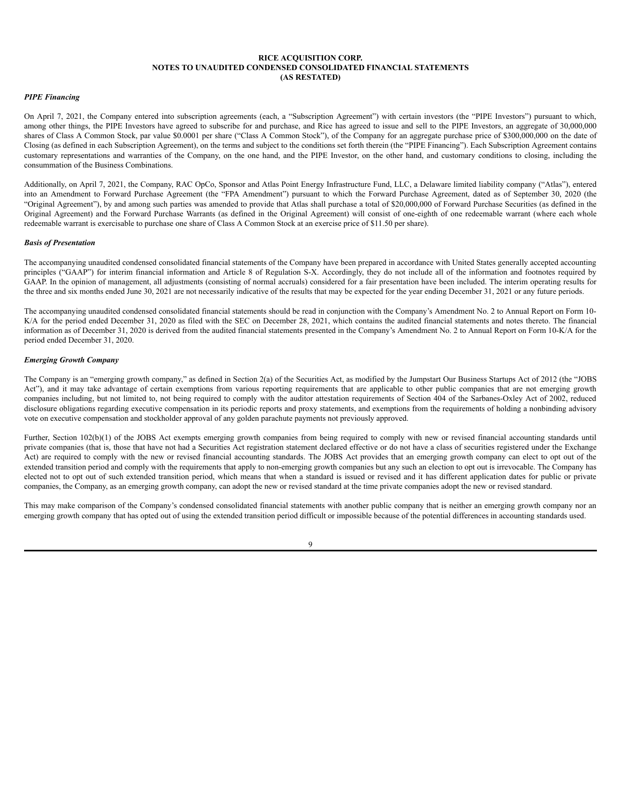#### *PIPE Financing*

On April 7, 2021, the Company entered into subscription agreements (each, a "Subscription Agreement") with certain investors (the "PIPE Investors") pursuant to which, among other things, the PIPE Investors have agreed to subscribe for and purchase, and Rice has agreed to issue and sell to the PIPE Investors, an aggregate of 30,000,000 shares of Class A Common Stock, par value \$0.0001 per share ("Class A Common Stock"), of the Company for an aggregate purchase price of \$300,000,000 on the date of Closing (as defined in each Subscription Agreement), on the terms and subject to the conditions set forth therein (the "PIPE Financing"). Each Subscription Agreement contains customary representations and warranties of the Company, on the one hand, and the PIPE Investor, on the other hand, and customary conditions to closing, including the consummation of the Business Combinations.

Additionally, on April 7, 2021, the Company, RAC OpCo, Sponsor and Atlas Point Energy Infrastructure Fund, LLC, a Delaware limited liability company ("Atlas"), entered into an Amendment to Forward Purchase Agreement (the "FPA Amendment") pursuant to which the Forward Purchase Agreement, dated as of September 30, 2020 (the "Original Agreement"), by and among such parties was amended to provide that Atlas shall purchase a total of \$20,000,000 of Forward Purchase Securities (as defined in the Original Agreement) and the Forward Purchase Warrants (as defined in the Original Agreement) will consist of one-eighth of one redeemable warrant (where each whole redeemable warrant is exercisable to purchase one share of Class A Common Stock at an exercise price of \$11.50 per share).

#### *Basis of Presentation*

The accompanying unaudited condensed consolidated financial statements of the Company have been prepared in accordance with United States generally accepted accounting principles ("GAAP") for interim financial information and Article 8 of Regulation S-X. Accordingly, they do not include all of the information and footnotes required by GAAP. In the opinion of management, all adjustments (consisting of normal accruals) considered for a fair presentation have been included. The interim operating results for the three and six months ended June 30, 2021 are not necessarily indicative of the results that may be expected for the year ending December 31, 2021 or any future periods.

The accompanying unaudited condensed consolidated financial statements should be read in conjunction with the Company's Amendment No. 2 to Annual Report on Form 10- K/A for the period ended December 31, 2020 as filed with the SEC on December 28, 2021, which contains the audited financial statements and notes thereto. The financial information as of December 31, 2020 is derived from the audited financial statements presented in the Company's Amendment No. 2 to Annual Report on Form 10-K/A for the period ended December 31, 2020.

#### *Emerging Growth Company*

The Company is an "emerging growth company," as defined in Section 2(a) of the Securities Act, as modified by the Jumpstart Our Business Startups Act of 2012 (the "JOBS Act"), and it may take advantage of certain exemptions from various reporting requirements that are applicable to other public companies that are not emerging growth companies including, but not limited to, not being required to comply with the auditor attestation requirements of Section 404 of the Sarbanes-Oxley Act of 2002, reduced disclosure obligations regarding executive compensation in its periodic reports and proxy statements, and exemptions from the requirements of holding a nonbinding advisory vote on executive compensation and stockholder approval of any golden parachute payments not previously approved.

Further, Section 102(b)(1) of the JOBS Act exempts emerging growth companies from being required to comply with new or revised financial accounting standards until private companies (that is, those that have not had a Securities Act registration statement declared effective or do not have a class of securities registered under the Exchange Act) are required to comply with the new or revised financial accounting standards. The JOBS Act provides that an emerging growth company can elect to opt out of the extended transition period and comply with the requirements that apply to non-emerging growth companies but any such an election to opt out is irrevocable. The Company has elected not to opt out of such extended transition period, which means that when a standard is issued or revised and it has different application dates for public or private companies, the Company, as an emerging growth company, can adopt the new or revised standard at the time private companies adopt the new or revised standard.

This may make comparison of the Company's condensed consolidated financial statements with another public company that is neither an emerging growth company nor an emerging growth company that has opted out of using the extended transition period difficult or impossible because of the potential differences in accounting standards used.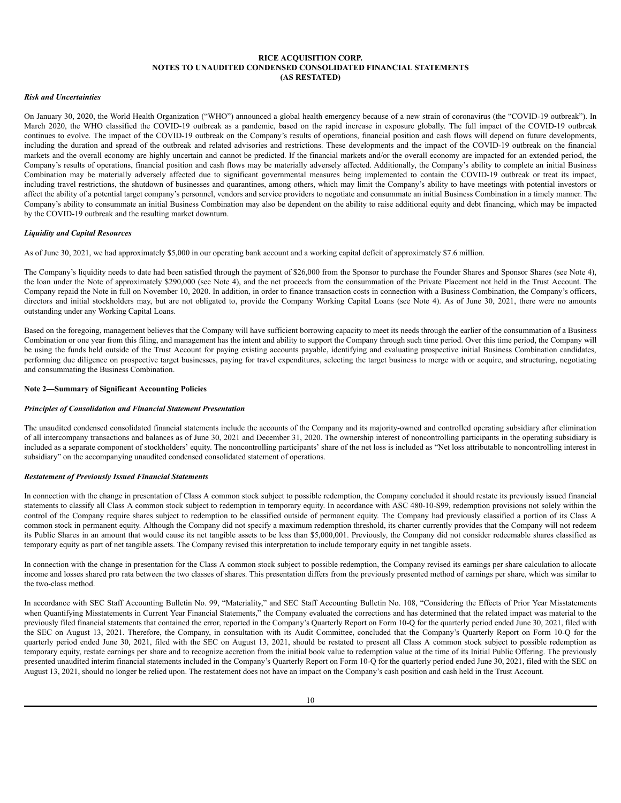#### *Risk and Uncertainties*

On January 30, 2020, the World Health Organization ("WHO") announced a global health emergency because of a new strain of coronavirus (the "COVID-19 outbreak"). In March 2020, the WHO classified the COVID-19 outbreak as a pandemic, based on the rapid increase in exposure globally. The full impact of the COVID-19 outbreak continues to evolve. The impact of the COVID-19 outbreak on the Company's results of operations, financial position and cash flows will depend on future developments, including the duration and spread of the outbreak and related advisories and restrictions. These developments and the impact of the COVID-19 outbreak on the financial markets and the overall economy are highly uncertain and cannot be predicted. If the financial markets and/or the overall economy are impacted for an extended period, the Company's results of operations, financial position and cash flows may be materially adversely affected. Additionally, the Company's ability to complete an initial Business Combination may be materially adversely affected due to significant governmental measures being implemented to contain the COVID-19 outbreak or treat its impact, including travel restrictions, the shutdown of businesses and quarantines, among others, which may limit the Company's ability to have meetings with potential investors or affect the ability of a potential target company's personnel, vendors and service providers to negotiate and consummate an initial Business Combination in a timely manner. The Company's ability to consummate an initial Business Combination may also be dependent on the ability to raise additional equity and debt financing, which may be impacted by the COVID-19 outbreak and the resulting market downturn.

## *Liquidity and Capital Resources*

As of June 30, 2021, we had approximately \$5,000 in our operating bank account and a working capital deficit of approximately \$7.6 million.

The Company's liquidity needs to date had been satisfied through the payment of \$26,000 from the Sponsor to purchase the Founder Shares and Sponsor Shares (see Note 4), the loan under the Note of approximately \$290,000 (see Note 4), and the net proceeds from the consummation of the Private Placement not held in the Trust Account. The Company repaid the Note in full on November 10, 2020. In addition, in order to finance transaction costs in connection with a Business Combination, the Company's officers, directors and initial stockholders may, but are not obligated to, provide the Company Working Capital Loans (see Note 4). As of June 30, 2021, there were no amounts outstanding under any Working Capital Loans.

Based on the foregoing, management believes that the Company will have sufficient borrowing capacity to meet its needs through the earlier of the consummation of a Business Combination or one year from this filing, and management has the intent and ability to support the Company through such time period. Over this time period, the Company will be using the funds held outside of the Trust Account for paying existing accounts payable, identifying and evaluating prospective initial Business Combination candidates, performing due diligence on prospective target businesses, paying for travel expenditures, selecting the target business to merge with or acquire, and structuring, negotiating and consummating the Business Combination.

### **Note 2—Summary of Significant Accounting Policies**

#### *Principles of Consolidation and Financial Statement Presentation*

The unaudited condensed consolidated financial statements include the accounts of the Company and its majority-owned and controlled operating subsidiary after elimination of all intercompany transactions and balances as of June 30, 2021 and December 31, 2020. The ownership interest of noncontrolling participants in the operating subsidiary is included as a separate component of stockholders' equity. The noncontrolling participants' share of the net loss is included as "Net loss attributable to noncontrolling interest in subsidiary" on the accompanying unaudited condensed consolidated statement of operations.

#### *Restatement of Previously Issued Financial Statements*

In connection with the change in presentation of Class A common stock subject to possible redemption, the Company concluded it should restate its previously issued financial statements to classify all Class A common stock subject to redemption in temporary equity. In accordance with ASC 480-10-S99, redemption provisions not solely within the control of the Company require shares subject to redemption to be classified outside of permanent equity. The Company had previously classified a portion of its Class A common stock in permanent equity. Although the Company did not specify a maximum redemption threshold, its charter currently provides that the Company will not redeem its Public Shares in an amount that would cause its net tangible assets to be less than \$5,000,001. Previously, the Company did not consider redeemable shares classified as temporary equity as part of net tangible assets. The Company revised this interpretation to include temporary equity in net tangible assets.

In connection with the change in presentation for the Class A common stock subject to possible redemption, the Company revised its earnings per share calculation to allocate income and losses shared pro rata between the two classes of shares. This presentation differs from the previously presented method of earnings per share, which was similar to the two-class method.

In accordance with SEC Staff Accounting Bulletin No. 99, "Materiality," and SEC Staff Accounting Bulletin No. 108, "Considering the Effects of Prior Year Misstatements when Quantifying Misstatements in Current Year Financial Statements," the Company evaluated the corrections and has determined that the related impact was material to the previously filed financial statements that contained the error, reported in the Company's Quarterly Report on Form 10-Q for the quarterly period ended June 30, 2021, filed with the SEC on August 13, 2021. Therefore, the Company, in consultation with its Audit Committee, concluded that the Company's Quarterly Report on Form 10-Q for the quarterly period ended June 30, 2021, filed with the SEC on August 13, 2021, should be restated to present all Class A common stock subject to possible redemption as temporary equity, restate earnings per share and to recognize accretion from the initial book value to redemption value at the time of its Initial Public Offering. The previously presented unaudited interim financial statements included in the Company's Quarterly Report on Form 10-Q for the quarterly period ended June 30, 2021, filed with the SEC on August 13, 2021, should no longer be relied upon. The restatement does not have an impact on the Company's cash position and cash held in the Trust Account.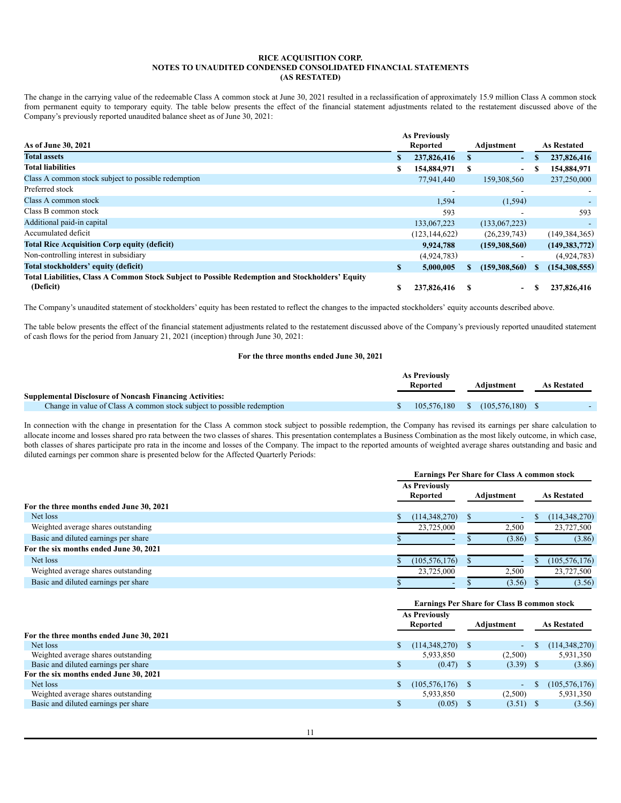The change in the carrying value of the redeemable Class A common stock at June 30, 2021 resulted in a reclassification of approximately 15.9 million Class A common stock from permanent equity to temporary equity. The table below presents the effect of the financial statement adjustments related to the restatement discussed above of the Company's previously reported unaudited balance sheet as of June 30, 2021:

|                                                                                                 |    | <b>As Previously</b> |    |                          |    |                    |
|-------------------------------------------------------------------------------------------------|----|----------------------|----|--------------------------|----|--------------------|
| As of June 30, 2021                                                                             |    | Reported             |    | Adjustment               |    | <b>As Restated</b> |
| <b>Total assets</b>                                                                             | S. | 237,826,416          | S. | $\sim$                   | S  | 237,826,416        |
| <b>Total liabilities</b>                                                                        |    | 154,884,971          | S  | $\overline{\phantom{0}}$ |    | 154,884,971        |
| Class A common stock subject to possible redemption                                             |    | 77,941,440           |    | 159,308,560              |    | 237,250,000        |
| Preferred stock                                                                                 |    |                      |    |                          |    |                    |
| Class A common stock                                                                            |    | 1,594                |    | (1, 594)                 |    |                    |
| Class B common stock                                                                            |    | 593                  |    |                          |    | 593                |
| Additional paid-in capital                                                                      |    | 133,067,223          |    | (133,067,223)            |    |                    |
| Accumulated deficit                                                                             |    | (123.144.622)        |    | (26, 239, 743)           |    | (149, 384, 365)    |
| <b>Total Rice Acquisition Corp equity (deficit)</b>                                             |    | 9,924,788            |    | (159,308,560)            |    | (149, 383, 772)    |
| Non-controlling interest in subsidiary                                                          |    | (4,924,783)          |    |                          |    | (4,924,783)        |
| Total stockholders' equity (deficit)                                                            | \$ | 5,000,005            | S  | (159,308,560)            | \$ | (154, 308, 555)    |
| Total Liabilities, Class A Common Stock Subject to Possible Redemption and Stockholders' Equity |    |                      |    |                          |    |                    |
| (Deficit)                                                                                       |    | 237,826,416          |    | $\sim$                   |    | 237,826,416        |

The Company's unaudited statement of stockholders' equity has been restated to reflect the changes to the impacted stockholders' equity accounts described above.

The table below presents the effect of the financial statement adjustments related to the restatement discussed above of the Company's previously reported unaudited statement of cash flows for the period from January 21, 2021 (inception) through June 30, 2021:

# **For the three months ended June 30, 2021**

|                                                                        | As Previously |          |  |                                  |                    |  |
|------------------------------------------------------------------------|---------------|----------|--|----------------------------------|--------------------|--|
|                                                                        |               | Reported |  | Adiustment                       | <b>As Restated</b> |  |
| <b>Supplemental Disclosure of Noncash Financing Activities:</b>        |               |          |  |                                  |                    |  |
| Change in value of Class A common stock subject to possible redemption |               |          |  | $105,576,180$ \$ $(105,576,180)$ |                    |  |

In connection with the change in presentation for the Class A common stock subject to possible redemption, the Company has revised its earnings per share calculation to allocate income and losses shared pro rata between the two classes of shares. This presentation contemplates a Business Combination as the most likely outcome, in which case, both classes of shares participate pro rata in the income and losses of the Company. The impact to the reported amounts of weighted average shares outstanding and basic and diluted earnings per common share is presented below for the Affected Quarterly Periods:

|                                          |                                         | <b>Earnings Per Share for Class A common stock</b> |                    |  |  |  |  |
|------------------------------------------|-----------------------------------------|----------------------------------------------------|--------------------|--|--|--|--|
|                                          | <b>As Previously</b><br><b>Reported</b> | Adiustment                                         | <b>As Restated</b> |  |  |  |  |
| For the three months ended June 30, 2021 |                                         |                                                    |                    |  |  |  |  |
| Net loss                                 | (114,348,270)                           | $\sim$                                             | (114, 348, 270)    |  |  |  |  |
| Weighted average shares outstanding      | 23,725,000                              | 2,500                                              | 23,727,500         |  |  |  |  |
| Basic and diluted earnings per share     | $\overline{\phantom{0}}$                | (3.86)                                             | (3.86)             |  |  |  |  |
| For the six months ended June 30, 2021   |                                         |                                                    |                    |  |  |  |  |
| Net loss                                 | (105, 576, 176)                         | $\overline{\phantom{a}}$                           | (105, 576, 176)    |  |  |  |  |
| Weighted average shares outstanding      | 23,725,000                              | 2,500                                              | 23,727,500         |  |  |  |  |
| Basic and diluted earnings per share     | $\overline{\phantom{0}}$                | (3.56)                                             | (3.56)             |  |  |  |  |

| <b>Earnings Per Share for Class B common stock</b> |           |              |                                                                |            |                            |
|----------------------------------------------------|-----------|--------------|----------------------------------------------------------------|------------|----------------------------|
| <b>As Previously</b>                               |           |              |                                                                |            |                            |
|                                                    | Reported  |              |                                                                |            | <b>As Restated</b>         |
|                                                    |           |              |                                                                |            |                            |
|                                                    |           | <sup>S</sup> | $\sim$                                                         |            | (114, 348, 270)            |
|                                                    | 5,933,850 |              | (2,500)                                                        |            | 5,931,350                  |
|                                                    |           |              |                                                                |            | (3.86)                     |
|                                                    |           |              |                                                                |            |                            |
|                                                    |           |              | $\sim$                                                         |            | (105, 576, 176)            |
|                                                    | 5,933,850 |              | (2,500)                                                        |            | 5,931,350                  |
|                                                    |           |              |                                                                |            | (3.56)                     |
|                                                    |           |              | (114,348,270)<br>$(0.47)$ \$<br>$(105, 576, 176)$ \$<br>(0.05) | Adjustment | $(3.39)$ \$<br>$(3.51)$ \$ |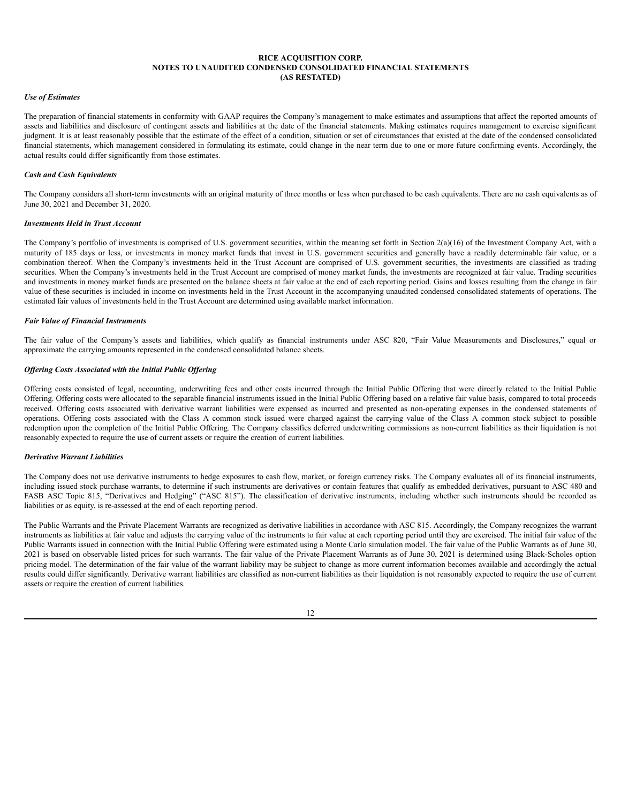#### *Use of Estimates*

The preparation of financial statements in conformity with GAAP requires the Company's management to make estimates and assumptions that affect the reported amounts of assets and liabilities and disclosure of contingent assets and liabilities at the date of the financial statements. Making estimates requires management to exercise significant judgment. It is at least reasonably possible that the estimate of the effect of a condition, situation or set of circumstances that existed at the date of the condensed consolidated financial statements, which management considered in formulating its estimate, could change in the near term due to one or more future confirming events. Accordingly, the actual results could differ significantly from those estimates.

#### *Cash and Cash Equivalents*

The Company considers all short-term investments with an original maturity of three months or less when purchased to be cash equivalents. There are no cash equivalents as of June 30, 2021 and December 31, 2020.

# *Investments Held in Trust Account*

The Company's portfolio of investments is comprised of U.S. government securities, within the meaning set forth in Section 2(a)(16) of the Investment Company Act, with a maturity of 185 days or less, or investments in money market funds that invest in U.S. government securities and generally have a readily determinable fair value, or a combination thereof. When the Company's investments held in the Trust Account are comprised of U.S. government securities, the investments are classified as trading securities. When the Company's investments held in the Trust Account are comprised of money market funds, the investments are recognized at fair value. Trading securities and investments in money market funds are presented on the balance sheets at fair value at the end of each reporting period. Gains and losses resulting from the change in fair value of these securities is included in income on investments held in the Trust Account in the accompanying unaudited condensed consolidated statements of operations. The estimated fair values of investments held in the Trust Account are determined using available market information.

#### *Fair Value of Financial Instruments*

The fair value of the Company's assets and liabilities, which qualify as financial instruments under ASC 820, "Fair Value Measurements and Disclosures," equal or approximate the carrying amounts represented in the condensed consolidated balance sheets.

# *Of ering Costs Associated with the Initial Public Of ering*

Offering costs consisted of legal, accounting, underwriting fees and other costs incurred through the Initial Public Offering that were directly related to the Initial Public Offering. Offering costs were allocated to the separable financial instruments issued in the Initial Public Offering based on a relative fair value basis, compared to total proceeds received. Offering costs associated with derivative warrant liabilities were expensed as incurred and presented as non-operating expenses in the condensed statements of operations. Offering costs associated with the Class A common stock issued were charged against the carrying value of the Class A common stock subject to possible redemption upon the completion of the Initial Public Offering. The Company classifies deferred underwriting commissions as non-current liabilities as their liquidation is not reasonably expected to require the use of current assets or require the creation of current liabilities.

#### *Derivative Warrant Liabilities*

The Company does not use derivative instruments to hedge exposures to cash flow, market, or foreign currency risks. The Company evaluates all of its financial instruments, including issued stock purchase warrants, to determine if such instruments are derivatives or contain features that qualify as embedded derivatives, pursuant to ASC 480 and FASB ASC Topic 815, "Derivatives and Hedging" ("ASC 815"). The classification of derivative instruments, including whether such instruments should be recorded as liabilities or as equity, is re-assessed at the end of each reporting period.

The Public Warrants and the Private Placement Warrants are recognized as derivative liabilities in accordance with ASC 815. Accordingly, the Company recognizes the warrant instruments as liabilities at fair value and adjusts the carrying value of the instruments to fair value at each reporting period until they are exercised. The initial fair value of the Public Warrants issued in connection with the Initial Public Offering were estimated using a Monte Carlo simulation model. The fair value of the Public Warrants as of June 30, 2021 is based on observable listed prices for such warrants. The fair value of the Private Placement Warrants as of June 30, 2021 is determined using Black-Scholes option pricing model. The determination of the fair value of the warrant liability may be subject to change as more current information becomes available and accordingly the actual results could differ significantly. Derivative warrant liabilities are classified as non-current liabilities as their liquidation is not reasonably expected to require the use of current assets or require the creation of current liabilities.

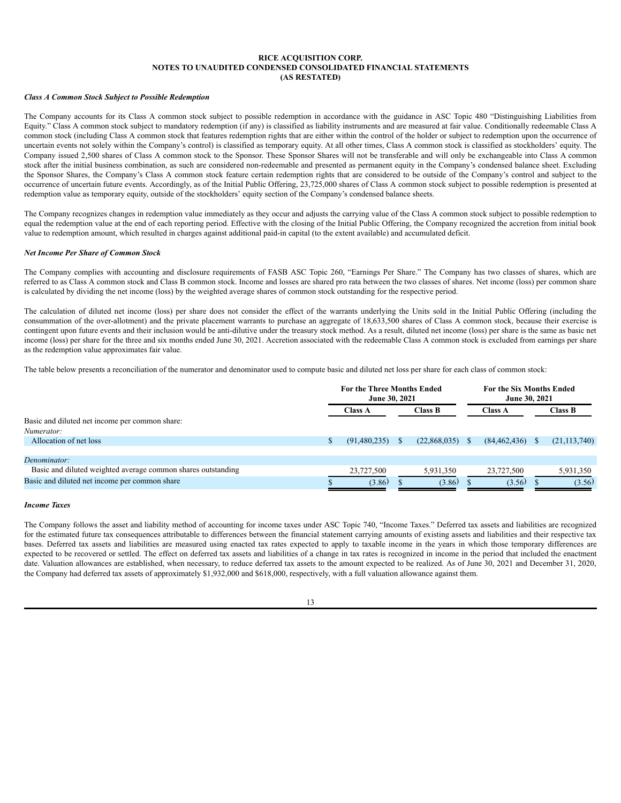### *Class A Common Stock Subject to Possible Redemption*

The Company accounts for its Class A common stock subject to possible redemption in accordance with the guidance in ASC Topic 480 "Distinguishing Liabilities from Equity." Class A common stock subject to mandatory redemption (if any) is classified as liability instruments and are measured at fair value. Conditionally redeemable Class A common stock (including Class A common stock that features redemption rights that are either within the control of the holder or subject to redemption upon the occurrence of uncertain events not solely within the Company's control) is classified as temporary equity. At all other times, Class A common stock is classified as stockholders' equity. The Company issued 2,500 shares of Class A common stock to the Sponsor. These Sponsor Shares will not be transferable and will only be exchangeable into Class A common stock after the initial business combination, as such are considered non-redeemable and presented as permanent equity in the Company's condensed balance sheet. Excluding the Sponsor Shares, the Company's Class A common stock feature certain redemption rights that are considered to be outside of the Company's control and subject to the occurrence of uncertain future events. Accordingly, as of the Initial Public Offering, 23,725,000 shares of Class A common stock subject to possible redemption is presented at redemption value as temporary equity, outside of the stockholders' equity section of the Company's condensed balance sheets.

The Company recognizes changes in redemption value immediately as they occur and adjusts the carrying value of the Class A common stock subject to possible redemption to equal the redemption value at the end of each reporting period. Effective with the closing of the Initial Public Offering, the Company recognized the accretion from initial book value to redemption amount, which resulted in charges against additional paid-in capital (to the extent available) and accumulated deficit.

#### *Net Income Per Share of Common Stock*

The Company complies with accounting and disclosure requirements of FASB ASC Topic 260, "Earnings Per Share." The Company has two classes of shares, which are referred to as Class A common stock and Class B common stock. Income and losses are shared pro rata between the two classes of shares. Net income (loss) per common share is calculated by dividing the net income (loss) by the weighted average shares of common stock outstanding for the respective period.

The calculation of diluted net income (loss) per share does not consider the effect of the warrants underlying the Units sold in the Initial Public Offering (including the consummation of the over-allotment) and the private placement warrants to purchase an aggregate of 18,633,500 shares of Class A common stock, because their exercise is contingent upon future events and their inclusion would be anti-dilutive under the treasury stock method. As a result, diluted net income (loss) per share is the same as basic net income (loss) per share for the three and six months ended June 30, 2021. Accretion associated with the redeemable Class A common stock is excluded from earnings per share as the redemption value approximates fair value.

The table below presents a reconciliation of the numerator and denominator used to compute basic and diluted net loss per share for each class of common stock:

|                                                              | <b>For the Three Months Ended</b><br>June 30, 2021 |                |  | <b>For the Six Months Ended</b><br>June 30, 2021 |                |  |                |
|--------------------------------------------------------------|----------------------------------------------------|----------------|--|--------------------------------------------------|----------------|--|----------------|
|                                                              |                                                    | <b>Class A</b> |  | Class B                                          | <b>Class A</b> |  | Class B        |
| Basic and diluted net income per common share:               |                                                    |                |  |                                                  |                |  |                |
| Numerator:                                                   |                                                    |                |  |                                                  |                |  |                |
| Allocation of net loss                                       |                                                    | (91, 480, 235) |  | (22,868,035)                                     | (84, 462, 436) |  | (21, 113, 740) |
|                                                              |                                                    |                |  |                                                  |                |  |                |
| Denominator:                                                 |                                                    |                |  |                                                  |                |  |                |
| Basic and diluted weighted average common shares outstanding |                                                    | 23,727,500     |  | 5,931,350                                        | 23,727,500     |  | 5,931,350      |
| Basic and diluted net income per common share                |                                                    | (3.86)         |  | (3.86)                                           | (3.56)         |  | (3.56)         |

### *Income Taxes*

The Company follows the asset and liability method of accounting for income taxes under ASC Topic 740, "Income Taxes." Deferred tax assets and liabilities are recognized for the estimated future tax consequences attributable to differences between the financial statement carrying amounts of existing assets and liabilities and their respective tax bases. Deferred tax assets and liabilities are measured using enacted tax rates expected to apply to taxable income in the years in which those temporary differences are expected to be recovered or settled. The effect on deferred tax assets and liabilities of a change in tax rates is recognized in income in the period that included the enactment date. Valuation allowances are established, when necessary, to reduce deferred tax assets to the amount expected to be realized. As of June 30, 2021 and December 31, 2020, the Company had deferred tax assets of approximately \$1,932,000 and \$618,000, respectively, with a full valuation allowance against them.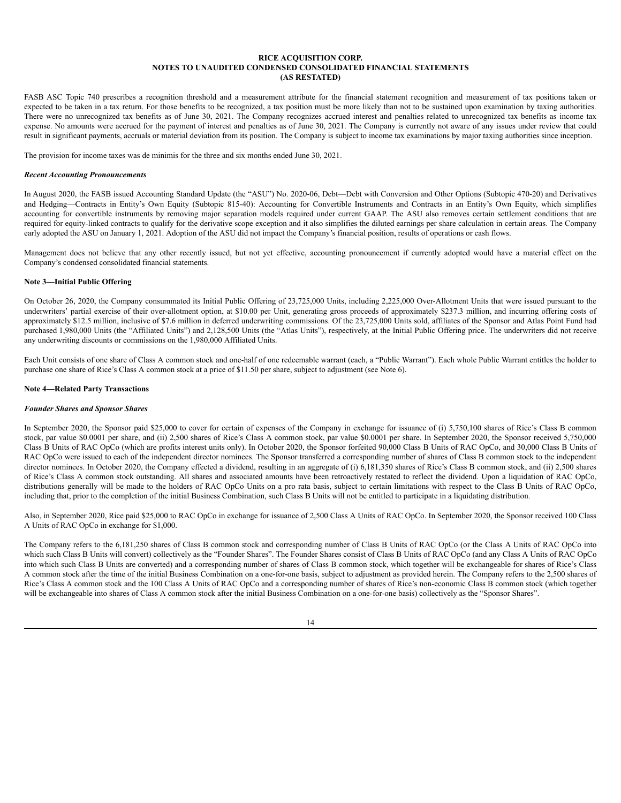FASB ASC Topic 740 prescribes a recognition threshold and a measurement attribute for the financial statement recognition and measurement of tax positions taken or expected to be taken in a tax return. For those benefits to be recognized, a tax position must be more likely than not to be sustained upon examination by taxing authorities. There were no unrecognized tax benefits as of June 30, 2021. The Company recognizes accrued interest and penalties related to unrecognized tax benefits as income tax expense. No amounts were accrued for the payment of interest and penalties as of June 30, 2021. The Company is currently not aware of any issues under review that could result in significant payments, accruals or material deviation from its position. The Company is subject to income tax examinations by major taxing authorities since inception.

The provision for income taxes was de minimis for the three and six months ended June 30, 2021.

#### *Recent Accounting Pronouncements*

In August 2020, the FASB issued Accounting Standard Update (the "ASU") No. 2020-06, Debt—Debt with Conversion and Other Options (Subtopic 470-20) and Derivatives and Hedging—Contracts in Entity's Own Equity (Subtopic 815-40): Accounting for Convertible Instruments and Contracts in an Entity's Own Equity, which simplifies accounting for convertible instruments by removing major separation models required under current GAAP. The ASU also removes certain settlement conditions that are required for equity-linked contracts to qualify for the derivative scope exception and it also simplifies the diluted earnings per share calculation in certain areas. The Company early adopted the ASU on January 1, 2021. Adoption of the ASU did not impact the Company's financial position, results of operations or cash flows.

Management does not believe that any other recently issued, but not yet effective, accounting pronouncement if currently adopted would have a material effect on the Company's condensed consolidated financial statements.

### **Note 3—Initial Public Offering**

On October 26, 2020, the Company consummated its Initial Public Offering of 23,725,000 Units, including 2,225,000 Over-Allotment Units that were issued pursuant to the underwriters' partial exercise of their over-allotment option, at \$10.00 per Unit, generating gross proceeds of approximately \$237.3 million, and incurring offering costs of approximately \$12.5 million, inclusive of \$7.6 million in deferred underwriting commissions. Of the 23,725,000 Units sold, affiliates of the Sponsor and Atlas Point Fund had purchased 1,980,000 Units (the "Affiliated Units") and 2,128,500 Units (the "Atlas Units"), respectively, at the Initial Public Offering price. The underwriters did not receive any underwriting discounts or commissions on the 1,980,000 Affiliated Units.

Each Unit consists of one share of Class A common stock and one-half of one redeemable warrant (each, a "Public Warrant"). Each whole Public Warrant entitles the holder to purchase one share of Rice's Class A common stock at a price of \$11.50 per share, subject to adjustment (see Note 6).

### **Note 4—Related Party Transactions**

#### *Founder Shares and Sponsor Shares*

In September 2020, the Sponsor paid \$25,000 to cover for certain of expenses of the Company in exchange for issuance of (i) 5,750,100 shares of Rice's Class B common stock, par value \$0.0001 per share, and (ii) 2,500 shares of Rice's Class A common stock, par value \$0.0001 per share. In September 2020, the Sponsor received 5,750,000 Class B Units of RAC OpCo (which are profits interest units only). In October 2020, the Sponsor forfeited 90,000 Class B Units of RAC OpCo, and 30,000 Class B Units of RAC OpCo were issued to each of the independent director nominees. The Sponsor transferred a corresponding number of shares of Class B common stock to the independent director nominees. In October 2020, the Company effected a dividend, resulting in an aggregate of (i) 6,181,350 shares of Rice's Class B common stock, and (ii) 2,500 shares of Rice's Class A common stock outstanding. All shares and associated amounts have been retroactively restated to reflect the dividend. Upon a liquidation of RAC OpCo, distributions generally will be made to the holders of RAC OpCo Units on a pro rata basis, subject to certain limitations with respect to the Class B Units of RAC OpCo, including that, prior to the completion of the initial Business Combination, such Class B Units will not be entitled to participate in a liquidating distribution.

Also, in September 2020, Rice paid \$25,000 to RAC OpCo in exchange for issuance of 2,500 Class A Units of RAC OpCo. In September 2020, the Sponsor received 100 Class A Units of RAC OpCo in exchange for \$1,000.

The Company refers to the 6,181,250 shares of Class B common stock and corresponding number of Class B Units of RAC OpCo (or the Class A Units of RAC OpCo into which such Class B Units will convert) collectively as the "Founder Shares". The Founder Shares consist of Class B Units of RAC OpCo (and any Class A Units of RAC OpCo into which such Class B Units are converted) and a corresponding number of shares of Class B common stock, which together will be exchangeable for shares of Rice's Class A common stock after the time of the initial Business Combination on a one-for-one basis, subject to adjustment as provided herein. The Company refers to the 2,500 shares of Rice's Class A common stock and the 100 Class A Units of RAC OpCo and a corresponding number of shares of Rice's non-economic Class B common stock (which together will be exchangeable into shares of Class A common stock after the initial Business Combination on a one-for-one basis) collectively as the "Sponsor Shares".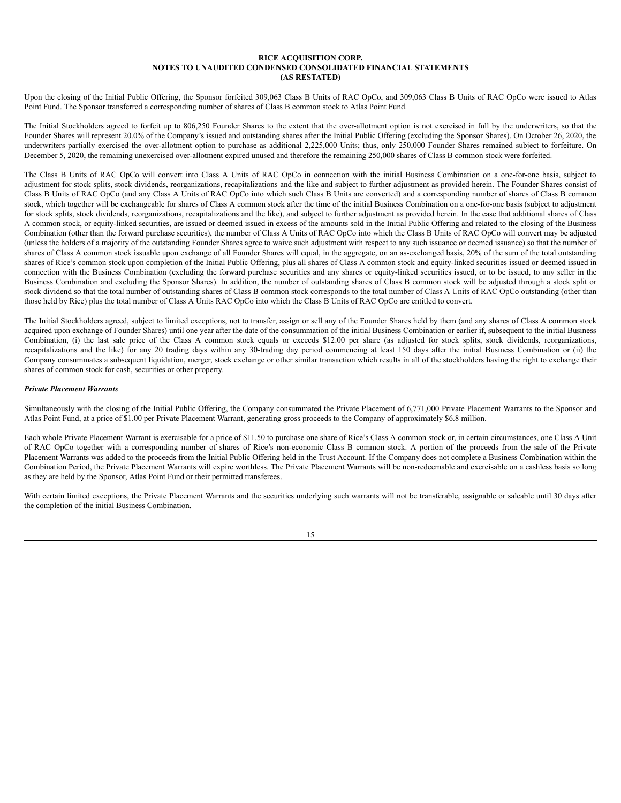Upon the closing of the Initial Public Offering, the Sponsor forfeited 309,063 Class B Units of RAC OpCo, and 309,063 Class B Units of RAC OpCo were issued to Atlas Point Fund. The Sponsor transferred a corresponding number of shares of Class B common stock to Atlas Point Fund.

The Initial Stockholders agreed to forfeit up to 806,250 Founder Shares to the extent that the over-allotment option is not exercised in full by the underwriters, so that the Founder Shares will represent 20.0% of the Company's issued and outstanding shares after the Initial Public Offering (excluding the Sponsor Shares). On October 26, 2020, the underwriters partially exercised the over-allotment option to purchase as additional 2,225,000 Units; thus, only 250,000 Founder Shares remained subject to forfeiture. On December 5, 2020, the remaining unexercised over-allotment expired unused and therefore the remaining 250,000 shares of Class B common stock were forfeited.

The Class B Units of RAC OpCo will convert into Class A Units of RAC OpCo in connection with the initial Business Combination on a one-for-one basis, subject to adjustment for stock splits, stock dividends, reorganizations, recapitalizations and the like and subject to further adjustment as provided herein. The Founder Shares consist of Class B Units of RAC OpCo (and any Class A Units of RAC OpCo into which such Class B Units are converted) and a corresponding number of shares of Class B common stock, which together will be exchangeable for shares of Class A common stock after the time of the initial Business Combination on a one-for-one basis (subject to adjustment for stock splits, stock dividends, reorganizations, recapitalizations and the like), and subject to further adjustment as provided herein. In the case that additional shares of Class A common stock, or equity-linked securities, are issued or deemed issued in excess of the amounts sold in the Initial Public Offering and related to the closing of the Business Combination (other than the forward purchase securities), the number of Class A Units of RAC OpCo into which the Class B Units of RAC OpCo will convert may be adjusted (unless the holders of a majority of the outstanding Founder Shares agree to waive such adjustment with respect to any such issuance or deemed issuance) so that the number of shares of Class A common stock issuable upon exchange of all Founder Shares will equal, in the aggregate, on an as-exchanged basis, 20% of the sum of the total outstanding shares of Rice's common stock upon completion of the Initial Public Offering, plus all shares of Class A common stock and equity-linked securities issued or deemed issued in connection with the Business Combination (excluding the forward purchase securities and any shares or equity-linked securities issued, or to be issued, to any seller in the Business Combination and excluding the Sponsor Shares). In addition, the number of outstanding shares of Class B common stock will be adjusted through a stock split or stock dividend so that the total number of outstanding shares of Class B common stock corresponds to the total number of Class A Units of RAC OpCo outstanding (other than those held by Rice) plus the total number of Class A Units RAC OpCo into which the Class B Units of RAC OpCo are entitled to convert.

The Initial Stockholders agreed, subject to limited exceptions, not to transfer, assign or sell any of the Founder Shares held by them (and any shares of Class A common stock acquired upon exchange of Founder Shares) until one year after the date of the consummation of the initial Business Combination or earlier if, subsequent to the initial Business Combination, (i) the last sale price of the Class A common stock equals or exceeds \$12.00 per share (as adjusted for stock splits, stock dividends, reorganizations, recapitalizations and the like) for any 20 trading days within any 30-trading day period commencing at least 150 days after the initial Business Combination or (ii) the Company consummates a subsequent liquidation, merger, stock exchange or other similar transaction which results in all of the stockholders having the right to exchange their shares of common stock for cash, securities or other property.

### *Private Placement Warrants*

Simultaneously with the closing of the Initial Public Offering, the Company consummated the Private Placement of 6,771,000 Private Placement Warrants to the Sponsor and Atlas Point Fund, at a price of \$1.00 per Private Placement Warrant, generating gross proceeds to the Company of approximately \$6.8 million.

Each whole Private Placement Warrant is exercisable for a price of \$11.50 to purchase one share of Rice's Class A common stock or, in certain circumstances, one Class A Unit of RAC OpCo together with a corresponding number of shares of Rice's non-economic Class B common stock. A portion of the proceeds from the sale of the Private Placement Warrants was added to the proceeds from the Initial Public Offering held in the Trust Account. If the Company does not complete a Business Combination within the Combination Period, the Private Placement Warrants will expire worthless. The Private Placement Warrants will be non-redeemable and exercisable on a cashless basis so long as they are held by the Sponsor, Atlas Point Fund or their permitted transferees.

With certain limited exceptions, the Private Placement Warrants and the securities underlying such warrants will not be transferable, assignable or saleable until 30 days after the completion of the initial Business Combination.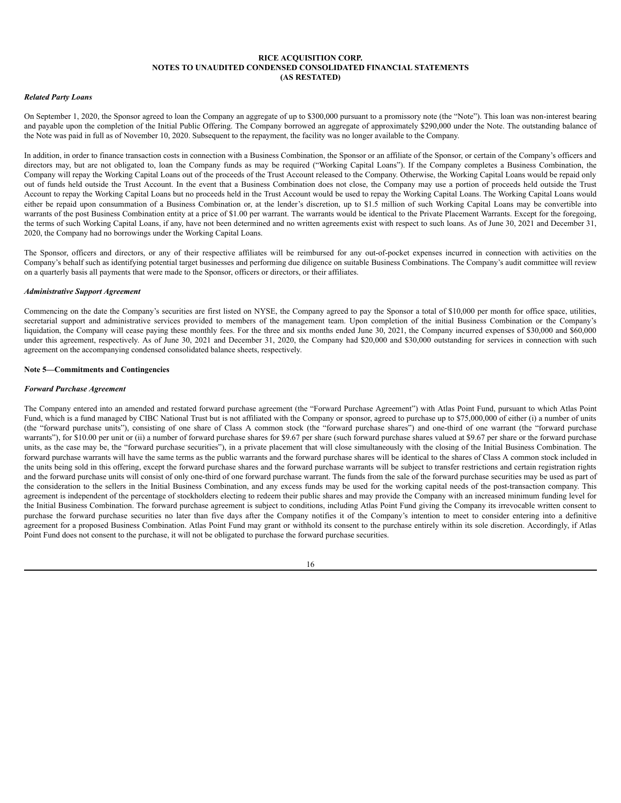#### *Related Party Loans*

On September 1, 2020, the Sponsor agreed to loan the Company an aggregate of up to \$300,000 pursuant to a promissory note (the "Note"). This loan was non-interest bearing and payable upon the completion of the Initial Public Offering. The Company borrowed an aggregate of approximately \$290,000 under the Note. The outstanding balance of the Note was paid in full as of November 10, 2020. Subsequent to the repayment, the facility was no longer available to the Company.

In addition, in order to finance transaction costs in connection with a Business Combination, the Sponsor or an affiliate of the Sponsor, or certain of the Company's officers and directors may, but are not obligated to, loan the Company funds as may be required ("Working Capital Loans"). If the Company completes a Business Combination, the Company will repay the Working Capital Loans out of the proceeds of the Trust Account released to the Company. Otherwise, the Working Capital Loans would be repaid only out of funds held outside the Trust Account. In the event that a Business Combination does not close, the Company may use a portion of proceeds held outside the Trust Account to repay the Working Capital Loans but no proceeds held in the Trust Account would be used to repay the Working Capital Loans. The Working Capital Loans would either be repaid upon consummation of a Business Combination or, at the lender's discretion, up to \$1.5 million of such Working Capital Loans may be convertible into warrants of the post Business Combination entity at a price of \$1.00 per warrant. The warrants would be identical to the Private Placement Warrants. Except for the foregoing, the terms of such Working Capital Loans, if any, have not been determined and no written agreements exist with respect to such loans. As of June 30, 2021 and December 31, 2020, the Company had no borrowings under the Working Capital Loans.

The Sponsor, officers and directors, or any of their respective affiliates will be reimbursed for any out-of-pocket expenses incurred in connection with activities on the Company's behalf such as identifying potential target businesses and performing due diligence on suitable Business Combinations. The Company's audit committee will review on a quarterly basis all payments that were made to the Sponsor, officers or directors, or their affiliates.

### *Administrative Support Agreement*

Commencing on the date the Company's securities are first listed on NYSE, the Company agreed to pay the Sponsor a total of \$10,000 per month for office space, utilities, secretarial support and administrative services provided to members of the management team. Upon completion of the initial Business Combination or the Company's liquidation, the Company will cease paying these monthly fees. For the three and six months ended June 30, 2021, the Company incurred expenses of \$30,000 and \$60,000 under this agreement, respectively. As of June 30, 2021 and December 31, 2020, the Company had \$20,000 and \$30,000 outstanding for services in connection with such agreement on the accompanying condensed consolidated balance sheets, respectively.

### **Note 5—Commitments and Contingencies**

#### *Forward Purchase Agreement*

The Company entered into an amended and restated forward purchase agreement (the "Forward Purchase Agreement") with Atlas Point Fund, pursuant to which Atlas Point Fund, which is a fund managed by CIBC National Trust but is not affiliated with the Company or sponsor, agreed to purchase up to \$75,000,000 of either (i) a number of units (the "forward purchase units"), consisting of one share of Class A common stock (the "forward purchase shares") and one-third of one warrant (the "forward purchase warrants"), for \$10.00 per unit or (ii) a number of forward purchase shares for \$9.67 per share (such forward purchase shares valued at \$9.67 per share or the forward purchase units, as the case may be, the "forward purchase securities"), in a private placement that will close simultaneously with the closing of the Initial Business Combination. The forward purchase warrants will have the same terms as the public warrants and the forward purchase shares will be identical to the shares of Class A common stock included in the units being sold in this offering, except the forward purchase shares and the forward purchase warrants will be subject to transfer restrictions and certain registration rights and the forward purchase units will consist of only one-third of one forward purchase warrant. The funds from the sale of the forward purchase securities may be used as part of the consideration to the sellers in the Initial Business Combination, and any excess funds may be used for the working capital needs of the post-transaction company. This agreement is independent of the percentage of stockholders electing to redeem their public shares and may provide the Company with an increased minimum funding level for the Initial Business Combination. The forward purchase agreement is subject to conditions, including Atlas Point Fund giving the Company its irrevocable written consent to purchase the forward purchase securities no later than five days after the Company notifies it of the Company's intention to meet to consider entering into a definitive agreement for a proposed Business Combination. Atlas Point Fund may grant or withhold its consent to the purchase entirely within its sole discretion. Accordingly, if Atlas Point Fund does not consent to the purchase, it will not be obligated to purchase the forward purchase securities.

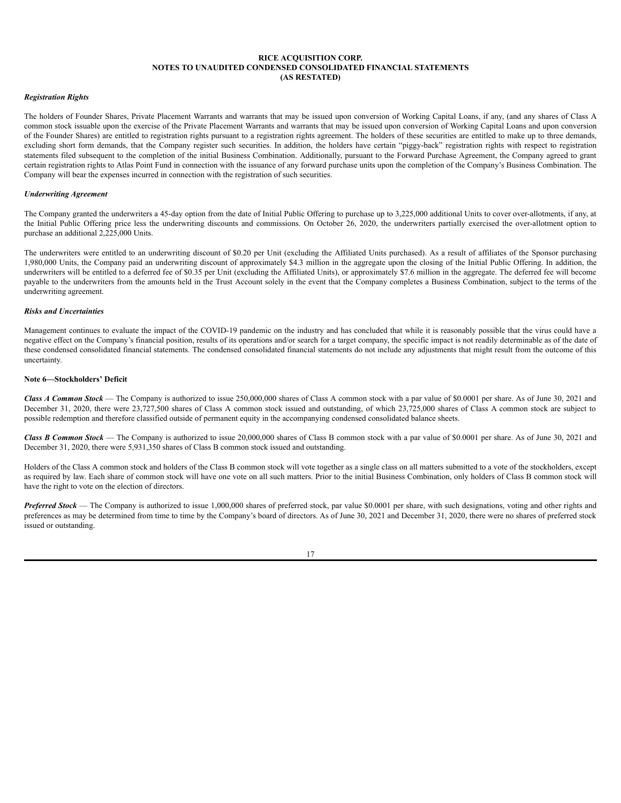### *Registration Rights*

The holders of Founder Shares, Private Placement Warrants and warrants that may be issued upon conversion of Working Capital Loans, if any, (and any shares of Class A common stock issuable upon the exercise of the Private Placement Warrants and warrants that may be issued upon conversion of Working Capital Loans and upon conversion of the Founder Shares) are entitled to registration rights pursuant to a registration rights agreement. The holders of these securities are entitled to make up to three demands, excluding short form demands, that the Company register such securities. In addition, the holders have certain "piggy-back" registration rights with respect to registration statements filed subsequent to the completion of the initial Business Combination. Additionally, pursuant to the Forward Purchase Agreement, the Company agreed to grant certain registration rights to Atlas Point Fund in connection with the issuance of any forward purchase units upon the completion of the Company's Business Combination. The Company will bear the expenses incurred in connection with the registration of such securities.

#### *Underwriting Agreement*

The Company granted the underwriters a 45-day option from the date of Initial Public Offering to purchase up to 3,225,000 additional Units to cover over-allotments, if any, at the Initial Public Offering price less the underwriting discounts and commissions. On October 26, 2020, the underwriters partially exercised the over-allotment option to purchase an additional 2,225,000 Units.

The underwriters were entitled to an underwriting discount of \$0.20 per Unit (excluding the Affiliated Units purchased). As a result of affiliates of the Sponsor purchasing 1,980,000 Units, the Company paid an underwriting discount of approximately \$4.3 million in the aggregate upon the closing of the Initial Public Offering. In addition, the underwriters will be entitled to a deferred fee of \$0.35 per Unit (excluding the Affiliated Units), or approximately \$7.6 million in the aggregate. The deferred fee will become payable to the underwriters from the amounts held in the Trust Account solely in the event that the Company completes a Business Combination, subject to the terms of the underwriting agreement.

### *Risks and Uncertainties*

Management continues to evaluate the impact of the COVID-19 pandemic on the industry and has concluded that while it is reasonably possible that the virus could have a negative effect on the Company's financial position, results of its operations and/or search for a target company, the specific impact is not readily determinable as of the date of these condensed consolidated financial statements. The condensed consolidated financial statements do not include any adjustments that might result from the outcome of this uncertainty.

#### **Note 6—Stockholders' Deficit**

*Class A Common Stock* — The Company is authorized to issue 250,000,000 shares of Class A common stock with a par value of \$0.0001 per share. As of June 30, 2021 and December 31, 2020, there were 23,727,500 shares of Class A common stock issued and outstanding, of which 23,725,000 shares of Class A common stock are subject to possible redemption and therefore classified outside of permanent equity in the accompanying condensed consolidated balance sheets.

*Class B Common Stock* — The Company is authorized to issue 20,000,000 shares of Class B common stock with a par value of \$0.0001 per share. As of June 30, 2021 and December 31, 2020, there were 5,931,350 shares of Class B common stock issued and outstanding.

Holders of the Class A common stock and holders of the Class B common stock will vote together as a single class on all matters submitted to a vote of the stockholders, except as required by law. Each share of common stock will have one vote on all such matters. Prior to the initial Business Combination, only holders of Class B common stock will have the right to vote on the election of directors.

*Preferred Stock* — The Company is authorized to issue 1,000,000 shares of preferred stock, par value \$0.0001 per share, with such designations, voting and other rights and preferences as may be determined from time to time by the Company's board of directors. As of June 30, 2021 and December 31, 2020, there were no shares of preferred stock issued or outstanding.

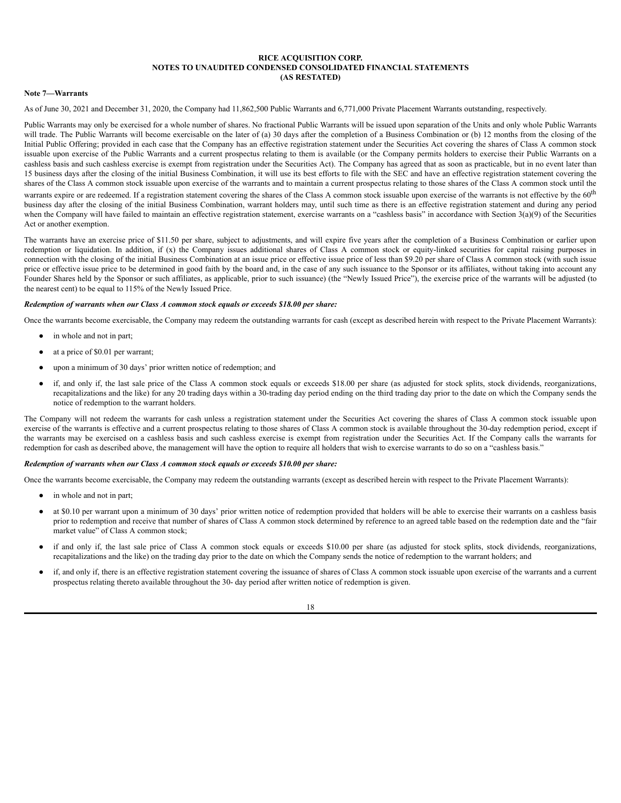### **Note 7—Warrants**

As of June 30, 2021 and December 31, 2020, the Company had 11,862,500 Public Warrants and 6,771,000 Private Placement Warrants outstanding, respectively.

Public Warrants may only be exercised for a whole number of shares. No fractional Public Warrants will be issued upon separation of the Units and only whole Public Warrants will trade. The Public Warrants will become exercisable on the later of (a) 30 days after the completion of a Business Combination or (b) 12 months from the closing of the Initial Public Offering; provided in each case that the Company has an effective registration statement under the Securities Act covering the shares of Class A common stock issuable upon exercise of the Public Warrants and a current prospectus relating to them is available (or the Company permits holders to exercise their Public Warrants on a cashless basis and such cashless exercise is exempt from registration under the Securities Act). The Company has agreed that as soon as practicable, but in no event later than 15 business days after the closing of the initial Business Combination, it will use its best efforts to file with the SEC and have an effective registration statement covering the shares of the Class A common stock issuable upon exercise of the warrants and to maintain a current prospectus relating to those shares of the Class A common stock until the warrants expire or are redeemed. If a registration statement covering the shares of the Class A common stock issuable upon exercise of the warrants is not effective by the 60<sup>th</sup> business day after the closing of the initial Business Combination, warrant holders may, until such time as there is an effective registration statement and during any period when the Company will have failed to maintain an effective registration statement, exercise warrants on a "cashless basis" in accordance with Section 3(a)(9) of the Securities Act or another exemption.

The warrants have an exercise price of \$11.50 per share, subject to adjustments, and will expire five years after the completion of a Business Combination or earlier upon redemption or liquidation. In addition, if (x) the Company issues additional shares of Class A common stock or equity-linked securities for capital raising purposes in connection with the closing of the initial Business Combination at an issue price or effective issue price of less than \$9.20 per share of Class A common stock (with such issue price or effective issue price to be determined in good faith by the board and, in the case of any such issuance to the Sponsor or its affiliates, without taking into account any Founder Shares held by the Sponsor or such affiliates, as applicable, prior to such issuance) (the "Newly Issued Price"), the exercise price of the warrants will be adjusted (to the nearest cent) to be equal to 115% of the Newly Issued Price.

#### *Redemption of warrants when our Class A common stock equals or exceeds \$18.00 per share:*

Once the warrants become exercisable, the Company may redeem the outstanding warrants for cash (except as described herein with respect to the Private Placement Warrants):

- in whole and not in part;
- at a price of \$0.01 per warrant;
- upon a minimum of 30 days' prior written notice of redemption; and
- if, and only if, the last sale price of the Class A common stock equals or exceeds \$18.00 per share (as adjusted for stock splits, stock dividends, reorganizations, recapitalizations and the like) for any 20 trading days within a 30-trading day period ending on the third trading day prior to the date on which the Company sends the notice of redemption to the warrant holders.

The Company will not redeem the warrants for cash unless a registration statement under the Securities Act covering the shares of Class A common stock issuable upon exercise of the warrants is effective and a current prospectus relating to those shares of Class A common stock is available throughout the 30-day redemption period, except if the warrants may be exercised on a cashless basis and such cashless exercise is exempt from registration under the Securities Act. If the Company calls the warrants for redemption for cash as described above, the management will have the option to require all holders that wish to exercise warrants to do so on a "cashless basis."

### *Redemption of warrants when our Class A common stock equals or exceeds \$10.00 per share:*

Once the warrants become exercisable, the Company may redeem the outstanding warrants (except as described herein with respect to the Private Placement Warrants):

- in whole and not in part;
- at \$0.10 per warrant upon a minimum of 30 days' prior written notice of redemption provided that holders will be able to exercise their warrants on a cashless basis prior to redemption and receive that number of shares of Class A common stock determined by reference to an agreed table based on the redemption date and the "fair market value" of Class A common stock;
- if and only if, the last sale price of Class A common stock equals or exceeds \$10.00 per share (as adjusted for stock splits, stock dividends, reorganizations, recapitalizations and the like) on the trading day prior to the date on which the Company sends the notice of redemption to the warrant holders; and
- if, and only if, there is an effective registration statement covering the issuance of shares of Class A common stock issuable upon exercise of the warrants and a current prospectus relating thereto available throughout the 30- day period after written notice of redemption is given.

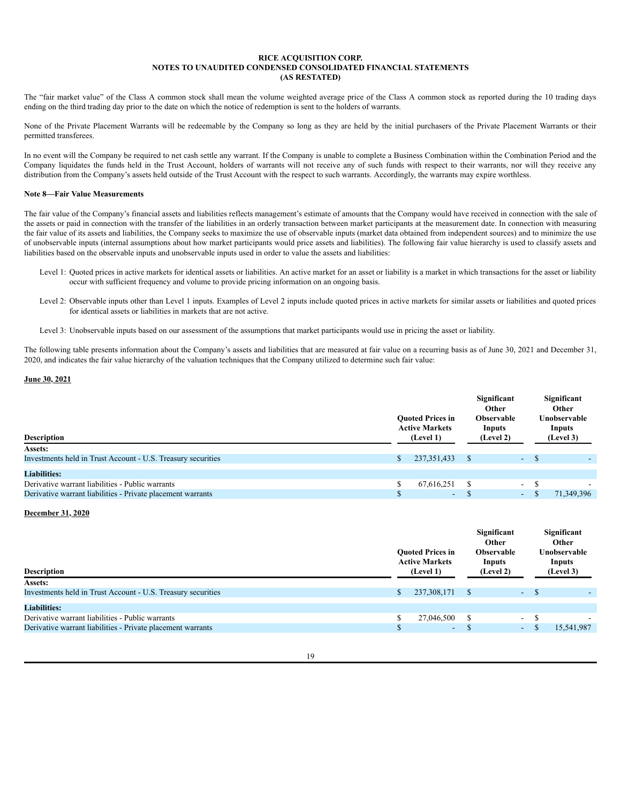The "fair market value" of the Class A common stock shall mean the volume weighted average price of the Class A common stock as reported during the 10 trading days ending on the third trading day prior to the date on which the notice of redemption is sent to the holders of warrants.

None of the Private Placement Warrants will be redeemable by the Company so long as they are held by the initial purchasers of the Private Placement Warrants or their permitted transferees.

In no event will the Company be required to net cash settle any warrant. If the Company is unable to complete a Business Combination within the Combination Period and the Company liquidates the funds held in the Trust Account, holders of warrants will not receive any of such funds with respect to their warrants, nor will they receive any distribution from the Company's assets held outside of the Trust Account with the respect to such warrants. Accordingly, the warrants may expire worthless.

### **Note 8—Fair Value Measurements**

The fair value of the Company's financial assets and liabilities reflects management's estimate of amounts that the Company would have received in connection with the sale of the assets or paid in connection with the transfer of the liabilities in an orderly transaction between market participants at the measurement date. In connection with measuring the fair value of its assets and liabilities, the Company seeks to maximize the use of observable inputs (market data obtained from independent sources) and to minimize the use of unobservable inputs (internal assumptions about how market participants would price assets and liabilities). The following fair value hierarchy is used to classify assets and liabilities based on the observable inputs and unobservable inputs used in order to value the assets and liabilities:

- Level 1: Quoted prices in active markets for identical assets or liabilities. An active market for an asset or liability is a market in which transactions for the asset or liability occur with sufficient frequency and volume to provide pricing information on an ongoing basis.
- Level 2: Observable inputs other than Level 1 inputs. Examples of Level 2 inputs include quoted prices in active markets for similar assets or liabilities and quoted prices for identical assets or liabilities in markets that are not active.
- Level 3: Unobservable inputs based on our assessment of the assumptions that market participants would use in pricing the asset or liability.

The following table presents information about the Company's assets and liabilities that are measured at fair value on a recurring basis as of June 30, 2021 and December 31, 2020, and indicates the fair value hierarchy of the valuation techniques that the Company utilized to determine such fair value:

### **June 30, 2021**

|                                                              |           |                                                  |                             | Significant<br>Other |                          |  | Significant<br>Other   |  |
|--------------------------------------------------------------|-----------|--------------------------------------------------|-----------------------------|----------------------|--------------------------|--|------------------------|--|
|                                                              |           | <b>Ouoted Prices in</b><br><b>Active Markets</b> | <b>Observable</b><br>Inputs |                      |                          |  | Unobservable<br>Inputs |  |
| <b>Description</b>                                           | (Level 1) |                                                  |                             | (Level 2)            |                          |  | (Level 3)              |  |
| <b>Assets:</b>                                               |           |                                                  |                             |                      |                          |  |                        |  |
| Investments held in Trust Account - U.S. Treasury securities |           | 237, 351, 433                                    |                             |                      | $-$ \$                   |  |                        |  |
| <b>Liabilities:</b>                                          |           |                                                  |                             |                      |                          |  |                        |  |
| Derivative warrant liabilities - Public warrants             |           | 67,616,251                                       |                             |                      | $\overline{\phantom{0}}$ |  |                        |  |
| Derivative warrant liabilities - Private placement warrants  |           | $\sim$                                           |                             |                      | $\sim$                   |  | 71.349.396             |  |

## **December 31, 2020**

| <b>Description</b>                                           | <b>Ouoted Prices in</b><br><b>Active Markets</b><br>(Level 1) |               | Significant<br>Other<br><b>Observable</b><br>Inputs<br>(Level 2) |        | Significant<br>Other<br>Unobservable<br>Inputs<br>(Level 3) |
|--------------------------------------------------------------|---------------------------------------------------------------|---------------|------------------------------------------------------------------|--------|-------------------------------------------------------------|
| Assets:                                                      |                                                               |               |                                                                  |        |                                                             |
| Investments held in Trust Account - U.S. Treasury securities | 237,308,171                                                   | <sup>\$</sup> |                                                                  | $-$ \$ |                                                             |
| <b>Liabilities:</b>                                          |                                                               |               |                                                                  |        |                                                             |
| Derivative warrant liabilities - Public warrants             | 27,046,500                                                    |               |                                                                  | $-$ \$ |                                                             |
| Derivative warrant liabilities - Private placement warrants  | $\sim$                                                        |               | $\omega_{\rm{eff}}$                                              |        | 15,541,987                                                  |
|                                                              |                                                               |               |                                                                  |        |                                                             |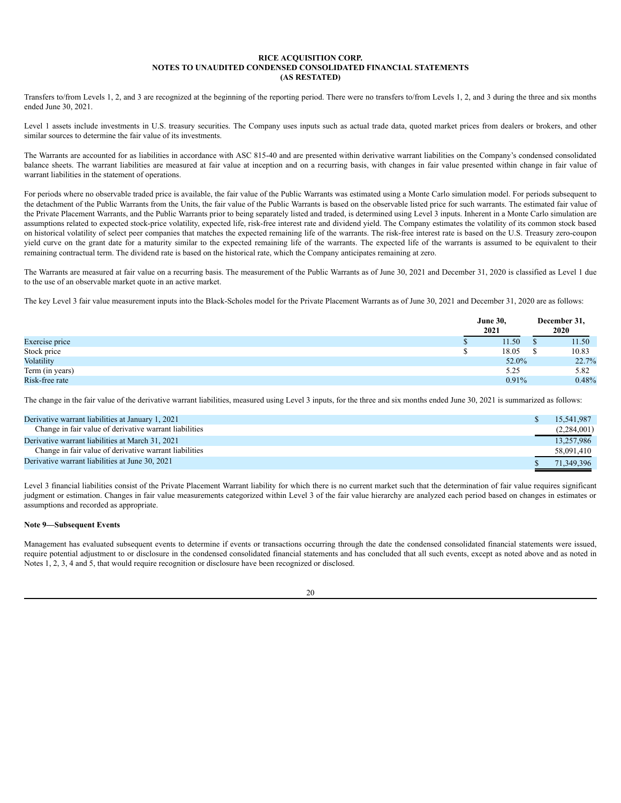Transfers to/from Levels 1, 2, and 3 are recognized at the beginning of the reporting period. There were no transfers to/from Levels 1, 2, and 3 during the three and six months ended June 30, 2021.

Level 1 assets include investments in U.S. treasury securities. The Company uses inputs such as actual trade data, quoted market prices from dealers or brokers, and other similar sources to determine the fair value of its investments.

The Warrants are accounted for as liabilities in accordance with ASC 815-40 and are presented within derivative warrant liabilities on the Company's condensed consolidated balance sheets. The warrant liabilities are measured at fair value at inception and on a recurring basis, with changes in fair value presented within change in fair value of warrant liabilities in the statement of operations.

For periods where no observable traded price is available, the fair value of the Public Warrants was estimated using a Monte Carlo simulation model. For periods subsequent to the detachment of the Public Warrants from the Units, the fair value of the Public Warrants is based on the observable listed price for such warrants. The estimated fair value of the Private Placement Warrants, and the Public Warrants prior to being separately listed and traded, is determined using Level 3 inputs. Inherent in a Monte Carlo simulation are assumptions related to expected stock-price volatility, expected life, risk-free interest rate and dividend yield. The Company estimates the volatility of its common stock based on historical volatility of select peer companies that matches the expected remaining life of the warrants. The risk-free interest rate is based on the U.S. Treasury zero-coupon yield curve on the grant date for a maturity similar to the expected remaining life of the warrants. The expected life of the warrants is assumed to be equivalent to their remaining contractual term. The dividend rate is based on the historical rate, which the Company anticipates remaining at zero.

The Warrants are measured at fair value on a recurring basis. The measurement of the Public Warrants as of June 30, 2021 and December 31, 2020 is classified as Level 1 due to the use of an observable market quote in an active market.

The key Level 3 fair value measurement inputs into the Black-Scholes model for the Private Placement Warrants as of June 30, 2021 and December 31, 2020 are as follows:

|                 | <b>June 30,</b><br>2021 | December 31,<br>2020 |       |
|-----------------|-------------------------|----------------------|-------|
| Exercise price  | 11.50                   |                      | 11.50 |
| Stock price     | 18.05                   |                      | 10.83 |
| Volatility      | 52.0%                   |                      | 22.7% |
| Term (in years) | 5.25                    |                      | 5.82  |
| Risk-free rate  | 0.91%                   |                      | 0.48% |

The change in the fair value of the derivative warrant liabilities, measured using Level 3 inputs, for the three and six months ended June 30, 2021 is summarized as follows:

| Derivative warrant liabilities at January 1, 2021<br>15.541.987       |  |
|-----------------------------------------------------------------------|--|
|                                                                       |  |
| Change in fair value of derivative warrant liabilities<br>(2,284,001) |  |
| 13.257.986<br>Derivative warrant liabilities at March 31, 2021        |  |
| Change in fair value of derivative warrant liabilities<br>58,091,410  |  |
| Derivative warrant liabilities at June 30, 2021<br>71.349.396         |  |

Level 3 financial liabilities consist of the Private Placement Warrant liability for which there is no current market such that the determination of fair value requires significant judgment or estimation. Changes in fair value measurements categorized within Level 3 of the fair value hierarchy are analyzed each period based on changes in estimates or assumptions and recorded as appropriate.

### **Note 9—Subsequent Events**

Management has evaluated subsequent events to determine if events or transactions occurring through the date the condensed consolidated financial statements were issued, require potential adjustment to or disclosure in the condensed consolidated financial statements and has concluded that all such events, except as noted above and as noted in Notes 1, 2, 3, 4 and 5, that would require recognition or disclosure have been recognized or disclosed.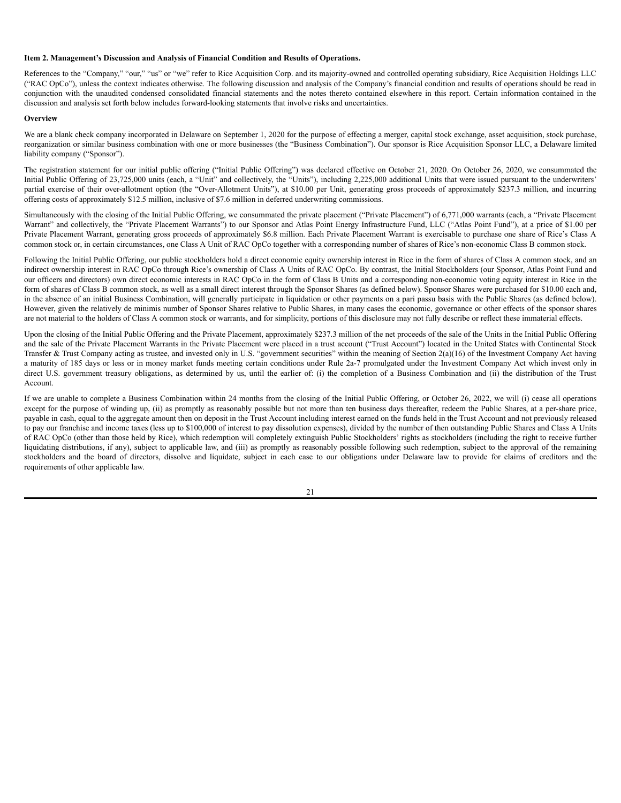#### <span id="page-24-0"></span>**Item 2. Management's Discussion and Analysis of Financial Condition and Results of Operations.**

References to the "Company," "our," "us" or "we" refer to Rice Acquisition Corp. and its majority-owned and controlled operating subsidiary, Rice Acquisition Holdings LLC ("RAC OpCo"), unless the context indicates otherwise. The following discussion and analysis of the Company's financial condition and results of operations should be read in conjunction with the unaudited condensed consolidated financial statements and the notes thereto contained elsewhere in this report. Certain information contained in the discussion and analysis set forth below includes forward-looking statements that involve risks and uncertainties.

#### **Overview**

We are a blank check company incorporated in Delaware on September 1, 2020 for the purpose of effecting a merger, capital stock exchange, asset acquisition, stock purchase, reorganization or similar business combination with one or more businesses (the "Business Combination"). Our sponsor is Rice Acquisition Sponsor LLC, a Delaware limited liability company ("Sponsor").

The registration statement for our initial public offering ("Initial Public Offering") was declared effective on October 21, 2020. On October 26, 2020, we consummated the Initial Public Offering of 23,725,000 units (each, a "Unit" and collectively, the "Units"), including 2,225,000 additional Units that were issued pursuant to the underwriters' partial exercise of their over-allotment option (the "Over-Allotment Units"), at \$10.00 per Unit, generating gross proceeds of approximately \$237.3 million, and incurring offering costs of approximately \$12.5 million, inclusive of \$7.6 million in deferred underwriting commissions.

Simultaneously with the closing of the Initial Public Offering, we consummated the private placement ("Private Placement") of 6,771,000 warrants (each, a "Private Placement Warrant" and collectively, the "Private Placement Warrants") to our Sponsor and Atlas Point Energy Infrastructure Fund, LLC ("Atlas Point Fund"), at a price of \$1.00 per Private Placement Warrant, generating gross proceeds of approximately \$6.8 million. Each Private Placement Warrant is exercisable to purchase one share of Rice's Class A common stock or, in certain circumstances, one Class A Unit of RAC OpCo together with a corresponding number of shares of Rice's non-economic Class B common stock.

Following the Initial Public Offering, our public stockholders hold a direct economic equity ownership interest in Rice in the form of shares of Class A common stock, and an indirect ownership interest in RAC OpCo through Rice's ownership of Class A Units of RAC OpCo. By contrast, the Initial Stockholders (our Sponsor, Atlas Point Fund and our officers and directors) own direct economic interests in RAC OpCo in the form of Class B Units and a corresponding non-economic voting equity interest in Rice in the form of shares of Class B common stock, as well as a small direct interest through the Sponsor Shares (as defined below). Sponsor Shares were purchased for \$10.00 each and, in the absence of an initial Business Combination, will generally participate in liquidation or other payments on a pari passu basis with the Public Shares (as defined below). However, given the relatively de minimis number of Sponsor Shares relative to Public Shares, in many cases the economic, governance or other effects of the sponsor shares are not material to the holders of Class A common stock or warrants, and for simplicity, portions of this disclosure may not fully describe or reflect these immaterial effects.

Upon the closing of the Initial Public Offering and the Private Placement, approximately \$237.3 million of the net proceeds of the sale of the Units in the Initial Public Offering and the sale of the Private Placement Warrants in the Private Placement were placed in a trust account ("Trust Account") located in the United States with Continental Stock Transfer & Trust Company acting as trustee, and invested only in U.S. "government securities" within the meaning of Section 2(a)(16) of the Investment Company Act having a maturity of 185 days or less or in money market funds meeting certain conditions under Rule 2a-7 promulgated under the Investment Company Act which invest only in direct U.S. government treasury obligations, as determined by us, until the earlier of: (i) the completion of a Business Combination and (ii) the distribution of the Trust Account.

If we are unable to complete a Business Combination within 24 months from the closing of the Initial Public Offering, or October 26, 2022, we will (i) cease all operations except for the purpose of winding up, (ii) as promptly as reasonably possible but not more than ten business days thereafter, redeem the Public Shares, at a per-share price, payable in cash, equal to the aggregate amount then on deposit in the Trust Account including interest earned on the funds held in the Trust Account and not previously released to pay our franchise and income taxes (less up to \$100,000 of interest to pay dissolution expenses), divided by the number of then outstanding Public Shares and Class A Units of RAC OpCo (other than those held by Rice), which redemption will completely extinguish Public Stockholders' rights as stockholders (including the right to receive further liquidating distributions, if any), subject to applicable law, and (iii) as promptly as reasonably possible following such redemption, subject to the approval of the remaining stockholders and the board of directors, dissolve and liquidate, subject in each case to our obligations under Delaware law to provide for claims of creditors and the requirements of other applicable law.

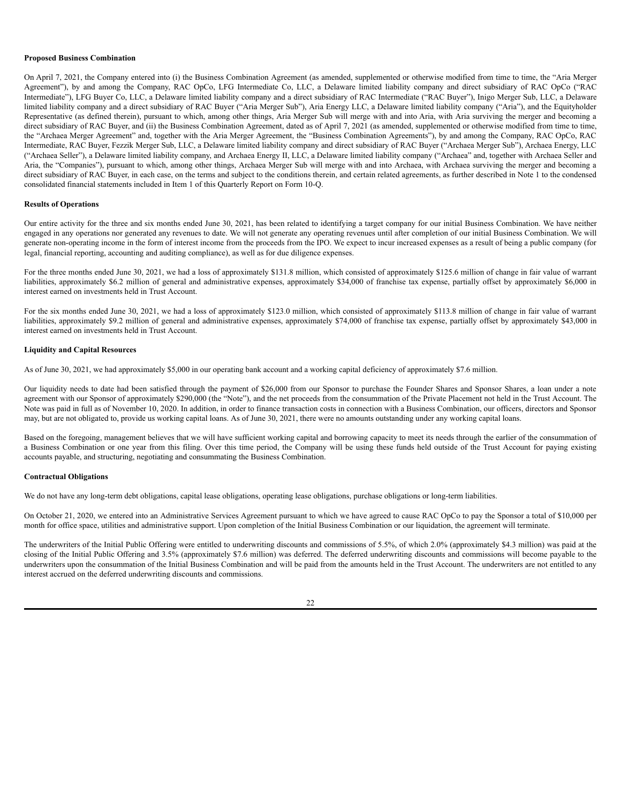#### **Proposed Business Combination**

On April 7, 2021, the Company entered into (i) the Business Combination Agreement (as amended, supplemented or otherwise modified from time to time, the "Aria Merger Agreement"), by and among the Company, RAC OpCo, LFG Intermediate Co, LLC, a Delaware limited liability company and direct subsidiary of RAC OpCo ("RAC Intermediate"), LFG Buyer Co, LLC, a Delaware limited liability company and a direct subsidiary of RAC Intermediate ("RAC Buyer"), Inigo Merger Sub, LLC, a Delaware limited liability company and a direct subsidiary of RAC Buyer ("Aria Merger Sub"), Aria Energy LLC, a Delaware limited liability company ("Aria"), and the Equityholder Representative (as defined therein), pursuant to which, among other things, Aria Merger Sub will merge with and into Aria, with Aria surviving the merger and becoming a direct subsidiary of RAC Buyer, and (ii) the Business Combination Agreement, dated as of April 7, 2021 (as amended, supplemented or otherwise modified from time to time, the "Archaea Merger Agreement" and, together with the Aria Merger Agreement, the "Business Combination Agreements"), by and among the Company, RAC OpCo, RAC Intermediate, RAC Buyer, Fezzik Merger Sub, LLC, a Delaware limited liability company and direct subsidiary of RAC Buyer ("Archaea Merger Sub"), Archaea Energy, LLC ("Archaea Seller"), a Delaware limited liability company, and Archaea Energy II, LLC, a Delaware limited liability company ("Archaea" and, together with Archaea Seller and Aria, the "Companies"), pursuant to which, among other things, Archaea Merger Sub will merge with and into Archaea, with Archaea surviving the merger and becoming a direct subsidiary of RAC Buyer, in each case, on the terms and subject to the conditions therein, and certain related agreements, as further described in Note 1 to the condensed consolidated financial statements included in Item 1 of this Quarterly Report on Form 10-Q.

# **Results of Operations**

Our entire activity for the three and six months ended June 30, 2021, has been related to identifying a target company for our initial Business Combination. We have neither engaged in any operations nor generated any revenues to date. We will not generate any operating revenues until after completion of our initial Business Combination. We will generate non-operating income in the form of interest income from the proceeds from the IPO. We expect to incur increased expenses as a result of being a public company (for legal, financial reporting, accounting and auditing compliance), as well as for due diligence expenses.

For the three months ended June 30, 2021, we had a loss of approximately \$131.8 million, which consisted of approximately \$125.6 million of change in fair value of warrant liabilities, approximately \$6.2 million of general and administrative expenses, approximately \$34,000 of franchise tax expense, partially offset by approximately \$6,000 in interest earned on investments held in Trust Account.

For the six months ended June 30, 2021, we had a loss of approximately \$123.0 million, which consisted of approximately \$113.8 million of change in fair value of warrant liabilities, approximately \$9.2 million of general and administrative expenses, approximately \$74,000 of franchise tax expense, partially offset by approximately \$43,000 in interest earned on investments held in Trust Account.

### **Liquidity and Capital Resources**

As of June 30, 2021, we had approximately \$5,000 in our operating bank account and a working capital deficiency of approximately \$7.6 million.

Our liquidity needs to date had been satisfied through the payment of \$26,000 from our Sponsor to purchase the Founder Shares and Sponsor Shares, a loan under a note agreement with our Sponsor of approximately \$290,000 (the "Note"), and the net proceeds from the consummation of the Private Placement not held in the Trust Account. The Note was paid in full as of November 10, 2020. In addition, in order to finance transaction costs in connection with a Business Combination, our officers, directors and Sponsor may, but are not obligated to, provide us working capital loans. As of June 30, 2021, there were no amounts outstanding under any working capital loans.

Based on the foregoing, management believes that we will have sufficient working capital and borrowing capacity to meet its needs through the earlier of the consummation of a Business Combination or one year from this filing. Over this time period, the Company will be using these funds held outside of the Trust Account for paying existing accounts payable, and structuring, negotiating and consummating the Business Combination.

### **Contractual Obligations**

We do not have any long-term debt obligations, capital lease obligations, operating lease obligations, purchase obligations or long-term liabilities.

On October 21, 2020, we entered into an Administrative Services Agreement pursuant to which we have agreed to cause RAC OpCo to pay the Sponsor a total of \$10,000 per month for office space, utilities and administrative support. Upon completion of the Initial Business Combination or our liquidation, the agreement will terminate.

The underwriters of the Initial Public Offering were entitled to underwriting discounts and commissions of 5.5%, of which 2.0% (approximately \$4.3 million) was paid at the closing of the Initial Public Offering and 3.5% (approximately \$7.6 million) was deferred. The deferred underwriting discounts and commissions will become payable to the underwriters upon the consummation of the Initial Business Combination and will be paid from the amounts held in the Trust Account. The underwriters are not entitled to any interest accrued on the deferred underwriting discounts and commissions.

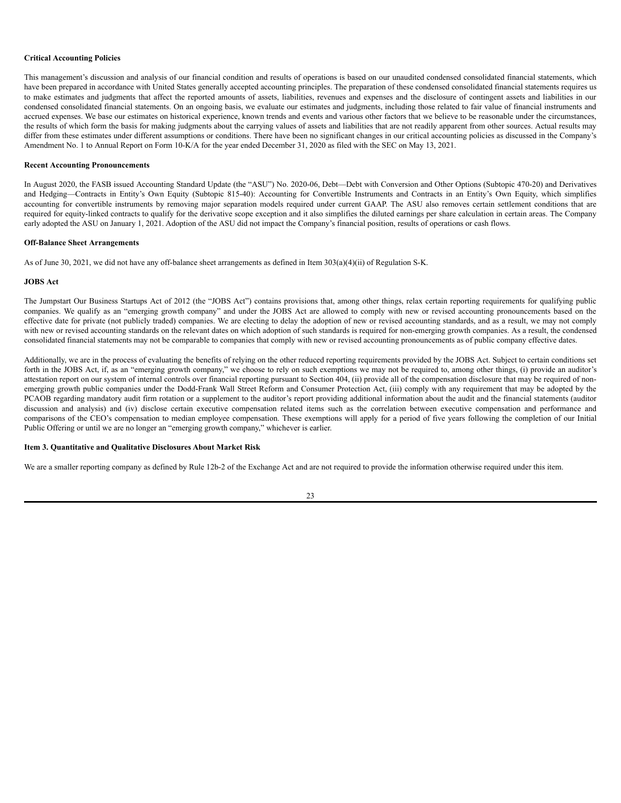#### **Critical Accounting Policies**

This management's discussion and analysis of our financial condition and results of operations is based on our unaudited condensed consolidated financial statements, which have been prepared in accordance with United States generally accepted accounting principles. The preparation of these condensed consolidated financial statements requires us to make estimates and judgments that affect the reported amounts of assets, liabilities, revenues and expenses and the disclosure of contingent assets and liabilities in our condensed consolidated financial statements. On an ongoing basis, we evaluate our estimates and judgments, including those related to fair value of financial instruments and accrued expenses. We base our estimates on historical experience, known trends and events and various other factors that we believe to be reasonable under the circumstances, the results of which form the basis for making judgments about the carrying values of assets and liabilities that are not readily apparent from other sources. Actual results may differ from these estimates under different assumptions or conditions. There have been no significant changes in our critical accounting policies as discussed in the Company's Amendment No. 1 to Annual Report on Form 10-K/A for the year ended December 31, 2020 as filed with the SEC on May 13, 2021.

#### **Recent Accounting Pronouncements**

In August 2020, the FASB issued Accounting Standard Update (the "ASU") No. 2020-06, Debt—Debt with Conversion and Other Options (Subtopic 470-20) and Derivatives and Hedging—Contracts in Entity's Own Equity (Subtopic 815-40): Accounting for Convertible Instruments and Contracts in an Entity's Own Equity, which simplifies accounting for convertible instruments by removing major separation models required under current GAAP. The ASU also removes certain settlement conditions that are required for equity-linked contracts to qualify for the derivative scope exception and it also simplifies the diluted earnings per share calculation in certain areas. The Company early adopted the ASU on January 1, 2021. Adoption of the ASU did not impact the Company's financial position, results of operations or cash flows.

#### **Off-Balance Sheet Arrangements**

As of June 30, 2021, we did not have any off-balance sheet arrangements as defined in Item 303(a)(4)(ii) of Regulation S-K.

### **JOBS Act**

The Jumpstart Our Business Startups Act of 2012 (the "JOBS Act") contains provisions that, among other things, relax certain reporting requirements for qualifying public companies. We qualify as an "emerging growth company" and under the JOBS Act are allowed to comply with new or revised accounting pronouncements based on the effective date for private (not publicly traded) companies. We are electing to delay the adoption of new or revised accounting standards, and as a result, we may not comply with new or revised accounting standards on the relevant dates on which adoption of such standards is required for non-emerging growth companies. As a result, the condensed consolidated financial statements may not be comparable to companies that comply with new or revised accounting pronouncements as of public company effective dates.

Additionally, we are in the process of evaluating the benefits of relying on the other reduced reporting requirements provided by the JOBS Act. Subject to certain conditions set forth in the JOBS Act, if, as an "emerging growth company," we choose to rely on such exemptions we may not be required to, among other things, (i) provide an auditor's attestation report on our system of internal controls over financial reporting pursuant to Section 404, (ii) provide all of the compensation disclosure that may be required of nonemerging growth public companies under the Dodd-Frank Wall Street Reform and Consumer Protection Act, (iii) comply with any requirement that may be adopted by the PCAOB regarding mandatory audit firm rotation or a supplement to the auditor's report providing additional information about the audit and the financial statements (auditor discussion and analysis) and (iv) disclose certain executive compensation related items such as the correlation between executive compensation and performance and comparisons of the CEO's compensation to median employee compensation. These exemptions will apply for a period of five years following the completion of our Initial Public Offering or until we are no longer an "emerging growth company," whichever is earlier.

### <span id="page-26-0"></span>**Item 3. Quantitative and Qualitative Disclosures About Market Risk**

We are a smaller reporting company as defined by Rule 12b-2 of the Exchange Act and are not required to provide the information otherwise required under this item.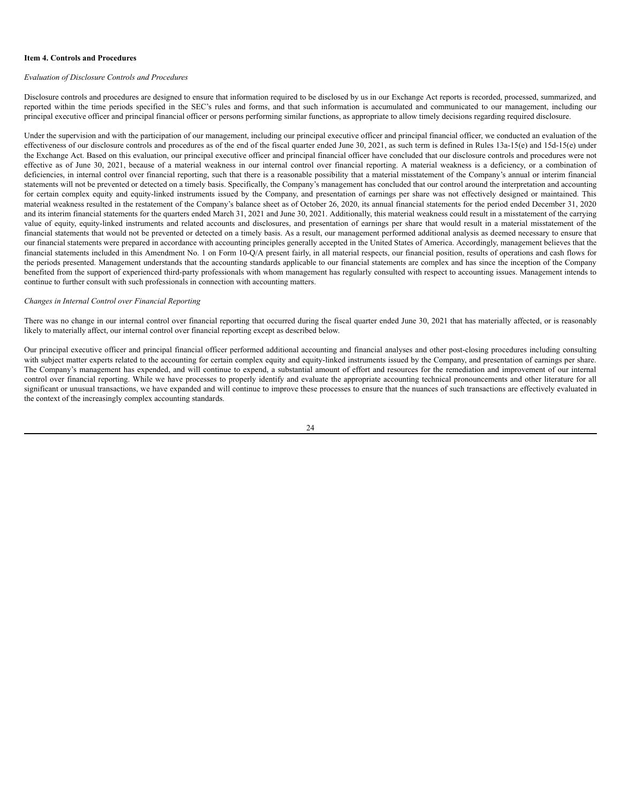#### <span id="page-27-0"></span>**Item 4. Controls and Procedures**

#### *Evaluation of Disclosure Controls and Procedures*

Disclosure controls and procedures are designed to ensure that information required to be disclosed by us in our Exchange Act reports is recorded, processed, summarized, and reported within the time periods specified in the SEC's rules and forms, and that such information is accumulated and communicated to our management, including our principal executive officer and principal financial officer or persons performing similar functions, as appropriate to allow timely decisions regarding required disclosure.

Under the supervision and with the participation of our management, including our principal executive officer and principal financial officer, we conducted an evaluation of the effectiveness of our disclosure controls and procedures as of the end of the fiscal quarter ended June 30, 2021, as such term is defined in Rules 13a-15(e) and 15d-15(e) under the Exchange Act. Based on this evaluation, our principal executive officer and principal financial officer have concluded that our disclosure controls and procedures were not effective as of June 30, 2021, because of a material weakness in our internal control over financial reporting. A material weakness is a deficiency, or a combination of deficiencies, in internal control over financial reporting, such that there is a reasonable possibility that a material misstatement of the Company's annual or interim financial statements will not be prevented or detected on a timely basis. Specifically, the Company's management has concluded that our control around the interpretation and accounting for certain complex equity and equity-linked instruments issued by the Company, and presentation of earnings per share was not effectively designed or maintained. This material weakness resulted in the restatement of the Company's balance sheet as of October 26, 2020, its annual financial statements for the period ended December 31, 2020 and its interim financial statements for the quarters ended March 31, 2021 and June 30, 2021. Additionally, this material weakness could result in a misstatement of the carrying value of equity, equity-linked instruments and related accounts and disclosures, and presentation of earnings per share that would result in a material misstatement of the financial statements that would not be prevented or detected on a timely basis. As a result, our management performed additional analysis as deemed necessary to ensure that our financial statements were prepared in accordance with accounting principles generally accepted in the United States of America. Accordingly, management believes that the financial statements included in this Amendment No. 1 on Form 10-Q/A present fairly, in all material respects, our financial position, results of operations and cash flows for the periods presented. Management understands that the accounting standards applicable to our financial statements are complex and has since the inception of the Company benefited from the support of experienced third-party professionals with whom management has regularly consulted with respect to accounting issues. Management intends to continue to further consult with such professionals in connection with accounting matters.

### *Changes in Internal Control over Financial Reporting*

There was no change in our internal control over financial reporting that occurred during the fiscal quarter ended June 30, 2021 that has materially affected, or is reasonably likely to materially affect, our internal control over financial reporting except as described below.

Our principal executive officer and principal financial officer performed additional accounting and financial analyses and other post-closing procedures including consulting with subject matter experts related to the accounting for certain complex equity and equity-linked instruments issued by the Company, and presentation of earnings per share. The Company's management has expended, and will continue to expend, a substantial amount of effort and resources for the remediation and improvement of our internal control over financial reporting. While we have processes to properly identify and evaluate the appropriate accounting technical pronouncements and other literature for all significant or unusual transactions, we have expanded and will continue to improve these processes to ensure that the nuances of such transactions are effectively evaluated in the context of the increasingly complex accounting standards.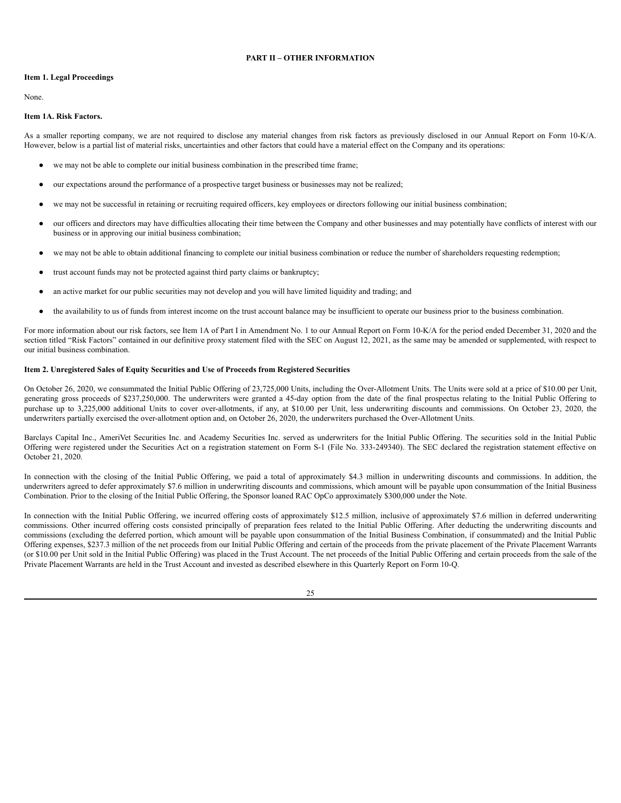# **PART II – OTHER INFORMATION**

### <span id="page-28-1"></span><span id="page-28-0"></span>**Item 1. Legal Proceedings**

None.

# <span id="page-28-2"></span>**Item 1A. Risk Factors.**

As a smaller reporting company, we are not required to disclose any material changes from risk factors as previously disclosed in our Annual Report on Form 10-K/A. However, below is a partial list of material risks, uncertainties and other factors that could have a material effect on the Company and its operations:

- we may not be able to complete our initial business combination in the prescribed time frame;
- our expectations around the performance of a prospective target business or businesses may not be realized;
- we may not be successful in retaining or recruiting required officers, key employees or directors following our initial business combination;
- our officers and directors may have difficulties allocating their time between the Company and other businesses and may potentially have conflicts of interest with our business or in approving our initial business combination;
- we may not be able to obtain additional financing to complete our initial business combination or reduce the number of shareholders requesting redemption;
- trust account funds may not be protected against third party claims or bankruptcy;
- an active market for our public securities may not develop and you will have limited liquidity and trading; and
- the availability to us of funds from interest income on the trust account balance may be insufficient to operate our business prior to the business combination.

For more information about our risk factors, see Item 1A of Part I in Amendment No. 1 to our Annual Report on Form 10-K/A for the period ended December 31, 2020 and the section titled "Risk Factors" contained in our definitive proxy statement filed with the SEC on August 12, 2021, as the same may be amended or supplemented, with respect to our initial business combination.

## <span id="page-28-3"></span>**Item 2. Unregistered Sales of Equity Securities and Use of Proceeds from Registered Securities**

On October 26, 2020, we consummated the Initial Public Offering of 23,725,000 Units, including the Over-Allotment Units. The Units were sold at a price of \$10.00 per Unit, generating gross proceeds of \$237,250,000. The underwriters were granted a 45-day option from the date of the final prospectus relating to the Initial Public Offering to purchase up to 3,225,000 additional Units to cover over-allotments, if any, at \$10.00 per Unit, less underwriting discounts and commissions. On October 23, 2020, the underwriters partially exercised the over-allotment option and, on October 26, 2020, the underwriters purchased the Over-Allotment Units.

Barclays Capital Inc., AmeriVet Securities Inc. and Academy Securities Inc. served as underwriters for the Initial Public Offering. The securities sold in the Initial Public Offering were registered under the Securities Act on a registration statement on Form S-1 (File No. 333-249340). The SEC declared the registration statement effective on October 21, 2020.

In connection with the closing of the Initial Public Offering, we paid a total of approximately \$4.3 million in underwriting discounts and commissions. In addition, the underwriters agreed to defer approximately \$7.6 million in underwriting discounts and commissions, which amount will be payable upon consummation of the Initial Business Combination. Prior to the closing of the Initial Public Offering, the Sponsor loaned RAC OpCo approximately \$300,000 under the Note.

In connection with the Initial Public Offering, we incurred offering costs of approximately \$12.5 million, inclusive of approximately \$7.6 million in deferred underwriting commissions. Other incurred offering costs consisted principally of preparation fees related to the Initial Public Offering. After deducting the underwriting discounts and commissions (excluding the deferred portion, which amount will be payable upon consummation of the Initial Business Combination, if consummated) and the Initial Public Offering expenses, \$237.3 million of the net proceeds from our Initial Public Offering and certain of the proceeds from the private placement of the Private Placement Warrants (or \$10.00 per Unit sold in the Initial Public Offering) was placed in the Trust Account. The net proceeds of the Initial Public Offering and certain proceeds from the sale of the Private Placement Warrants are held in the Trust Account and invested as described elsewhere in this Quarterly Report on Form 10-Q.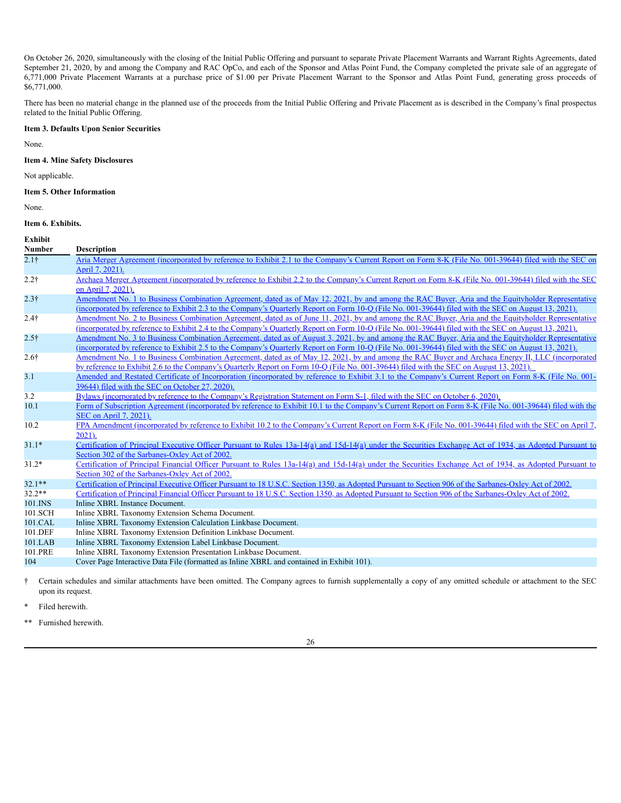On October 26, 2020, simultaneously with the closing of the Initial Public Offering and pursuant to separate Private Placement Warrants and Warrant Rights Agreements, dated September 21, 2020, by and among the Company and RAC OpCo, and each of the Sponsor and Atlas Point Fund, the Company completed the private sale of an aggregate of 6,771,000 Private Placement Warrants at a purchase price of \$1.00 per Private Placement Warrant to the Sponsor and Atlas Point Fund, generating gross proceeds of \$6,771,000.

There has been no material change in the planned use of the proceeds from the Initial Public Offering and Private Placement as is described in the Company's final prospectus related to the Initial Public Offering.

# <span id="page-29-0"></span>**Item 3. Defaults Upon Senior Securities**

None.

### <span id="page-29-1"></span>**Item 4. Mine Safety Disclosures**

Not applicable.

### <span id="page-29-2"></span>**Item 5. Other Information**

None.

# <span id="page-29-3"></span>**Item 6. Exhibits.**

| Exhibit<br><b>Number</b> | <b>Description</b>                                                                                                                                                                                                                                                                                           |
|--------------------------|--------------------------------------------------------------------------------------------------------------------------------------------------------------------------------------------------------------------------------------------------------------------------------------------------------------|
| 2.1 <sup>†</sup>         | Aria Merger Agreement (incorporated by reference to Exhibit 2.1 to the Company's Current Report on Form 8-K (File No. 001-39644) filed with the SEC on<br>April 7, 2021).                                                                                                                                    |
| $2.2\dagger$             | Archaea Merger Agreement (incorporated by reference to Exhibit 2.2 to the Company's Current Report on Form 8-K (File No. 001-39644) filed with the SEC<br>on April 7, 2021).                                                                                                                                 |
| $2.3\dagger$             | Amendment No. 1 to Business Combination Agreement, dated as of May 12, 2021, by and among the RAC Buyer, Aria and the Equityholder Representative<br>(incorporated by reference to Exhibit 2.3 to the Company's Quarterly Report on Form 10-Q (File No. 001-39644) filed with the SEC on August 13, 2021).   |
| $2.4\dagger$             | Amendment No. 2 to Business Combination Agreement, dated as of June 11, 2021, by and among the RAC Buyer, Aria and the Equityholder Representative<br>(incorporated by reference to Exhibit 2.4 to the Company's Quarterly Report on Form 10-Q (File No. 001-39644) filed with the SEC on August 13, 2021).  |
| $2.5\dagger$             | Amendment No. 3 to Business Combination Agreement, dated as of August 3, 2021, by and among the RAC Buyer, Aria and the Equityholder Representative<br>(incorporated by reference to Exhibit 2.5 to the Company's Quarterly Report on Form 10-Q (File No. 001-39644) filed with the SEC on August 13, 2021). |
| $2.6\dagger$             | Amendment No. 1 to Business Combination Agreement, dated as of May 12, 2021, by and among the RAC Buyer and Archaea Energy II, LLC (incorporated<br>by reference to Exhibit 2.6 to the Company's Quarterly Report on Form 10-O (File No. 001-39644) filed with the SEC on August 13, 2021).                  |
| 3.1                      | Amended and Restated Certificate of Incorporation (incorporated by reference to Exhibit 3.1 to the Company's Current Report on Form 8-K (File No. 001-<br>39644) filed with the SEC on October 27, 2020).                                                                                                    |
| 3.2                      | Bylaws (incorporated by reference to the Company's Registration Statement on Form S-1, filed with the SEC on October 6, 2020).                                                                                                                                                                               |
| 10.1                     | Form of Subscription Agreement (incorporated by reference to Exhibit 10.1 to the Company's Current Report on Form 8-K (File No. 001-39644) filed with the<br>SEC on April 7, 2021).                                                                                                                          |
| 10.2                     | FPA Amendment (incorporated by reference to Exhibit 10.2 to the Company's Current Report on Form 8-K (File No. 001-39644) filed with the SEC on April 7,<br>$2021$ ).                                                                                                                                        |
| $31.1*$                  | Certification of Principal Executive Officer Pursuant to Rules 13a-14(a) and 15d-14(a) under the Securities Exchange Act of 1934, as Adopted Pursuant to<br>Section 302 of the Sarbanes-Oxley Act of 2002.                                                                                                   |
| $31.2*$                  | Certification of Principal Financial Officer Pursuant to Rules 13a-14(a) and 15d-14(a) under the Securities Exchange Act of 1934, as Adopted Pursuant to<br>Section 302 of the Sarbanes-Oxley Act of 2002.                                                                                                   |
| $32.1**$                 | Certification of Principal Executive Officer Pursuant to 18 U.S.C. Section 1350, as Adopted Pursuant to Section 906 of the Sarbanes-Oxley Act of 2002.                                                                                                                                                       |
| $32.2**$                 | Certification of Principal Financial Officer Pursuant to 18 U.S.C. Section 1350, as Adopted Pursuant to Section 906 of the Sarbanes-Oxley Act of 2002.                                                                                                                                                       |
| 101.INS                  | Inline XBRL Instance Document.                                                                                                                                                                                                                                                                               |
| 101.SCH                  | Inline XBRL Taxonomy Extension Schema Document.                                                                                                                                                                                                                                                              |
| 101.CAL                  | Inline XBRL Taxonomy Extension Calculation Linkbase Document.                                                                                                                                                                                                                                                |
| 101.DEF                  | Inline XBRL Taxonomy Extension Definition Linkbase Document.                                                                                                                                                                                                                                                 |
| 101.LAB                  | Inline XBRL Taxonomy Extension Label Linkbase Document.                                                                                                                                                                                                                                                      |
| 101.PRE                  | Inline XBRL Taxonomy Extension Presentation Linkbase Document.                                                                                                                                                                                                                                               |
| 104                      | Cover Page Interactive Data File (formatted as Inline XBRL and contained in Exhibit 101).                                                                                                                                                                                                                    |

† Certain schedules and similar attachments have been omitted. The Company agrees to furnish supplementally a copy of any omitted schedule or attachment to the SEC upon its request.

\* Filed herewith.

\*\* Furnished herewith.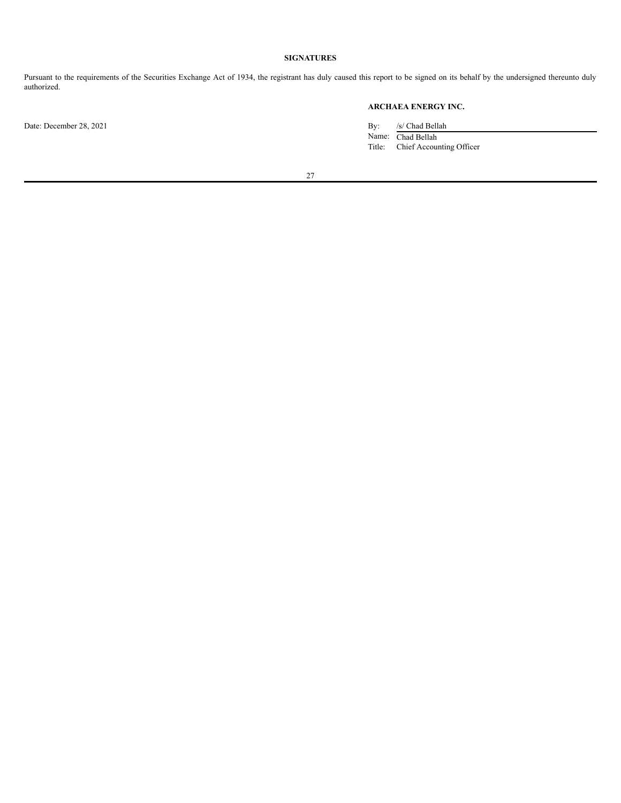# **SIGNATURES**

<span id="page-30-0"></span>Pursuant to the requirements of the Securities Exchange Act of 1934, the registrant has duly caused this report to be signed on its behalf by the undersigned thereunto duly authorized.

# **ARCHAEA ENERGY INC.**

Date: December 28, 2021 By: /s/ Chad Bellah Name: Chad Bellah Title: Chief Accounting Officer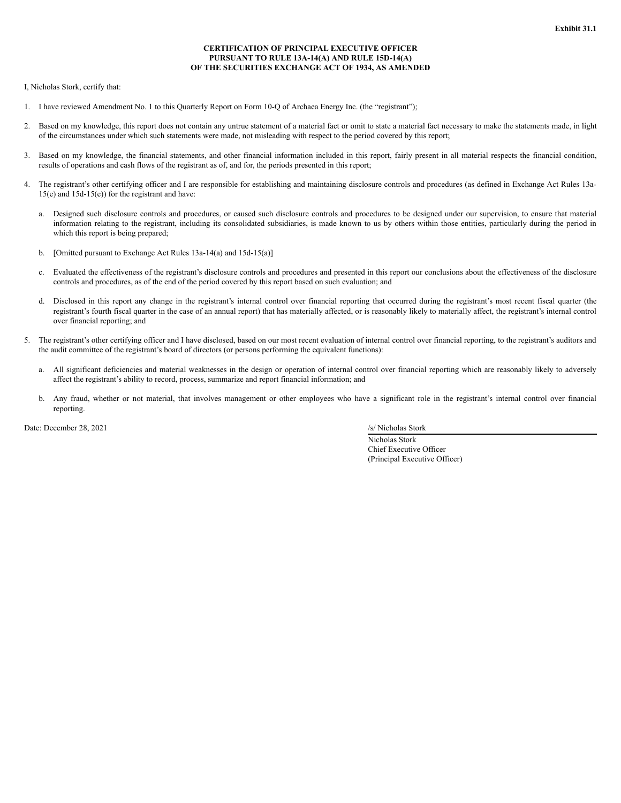# **CERTIFICATION OF PRINCIPAL EXECUTIVE OFFICER PURSUANT TO RULE 13A-14(A) AND RULE 15D-14(A) OF THE SECURITIES EXCHANGE ACT OF 1934, AS AMENDED**

I, Nicholas Stork, certify that:

- 1. I have reviewed Amendment No. 1 to this Quarterly Report on Form 10-Q of Archaea Energy Inc. (the "registrant");
- Based on my knowledge, this report does not contain any untrue statement of a material fact or omit to state a material fact necessary to make the statements made, in light of the circumstances under which such statements were made, not misleading with respect to the period covered by this report;
- 3. Based on my knowledge, the financial statements, and other financial information included in this report, fairly present in all material respects the financial condition, results of operations and cash flows of the registrant as of, and for, the periods presented in this report;
- 4. The registrant's other certifying officer and I are responsible for establishing and maintaining disclosure controls and procedures (as defined in Exchange Act Rules 13a-15(e) and 15d-15(e)) for the registrant and have:
	- a. Designed such disclosure controls and procedures, or caused such disclosure controls and procedures to be designed under our supervision, to ensure that material information relating to the registrant, including its consolidated subsidiaries, is made known to us by others within those entities, particularly during the period in which this report is being prepared;
	- b. [Omitted pursuant to Exchange Act Rules 13a-14(a) and 15d-15(a)]
	- c. Evaluated the effectiveness of the registrant's disclosure controls and procedures and presented in this report our conclusions about the effectiveness of the disclosure controls and procedures, as of the end of the period covered by this report based on such evaluation; and
	- d. Disclosed in this report any change in the registrant's internal control over financial reporting that occurred during the registrant's most recent fiscal quarter (the registrant's fourth fiscal quarter in the case of an annual report) that has materially affected, or is reasonably likely to materially affect, the registrant's internal control over financial reporting; and
- 5. The registrant's other certifying officer and I have disclosed, based on our most recent evaluation of internal control over financial reporting, to the registrant's auditors and the audit committee of the registrant's board of directors (or persons performing the equivalent functions):
	- a. All significant deficiencies and material weaknesses in the design or operation of internal control over financial reporting which are reasonably likely to adversely affect the registrant's ability to record, process, summarize and report financial information; and
	- b. Any fraud, whether or not material, that involves management or other employees who have a significant role in the registrant's internal control over financial reporting.

Date: December 28, 2021 /s/ Nicholas Stork

Nicholas Stork Chief Executive Officer (Principal Executive Officer)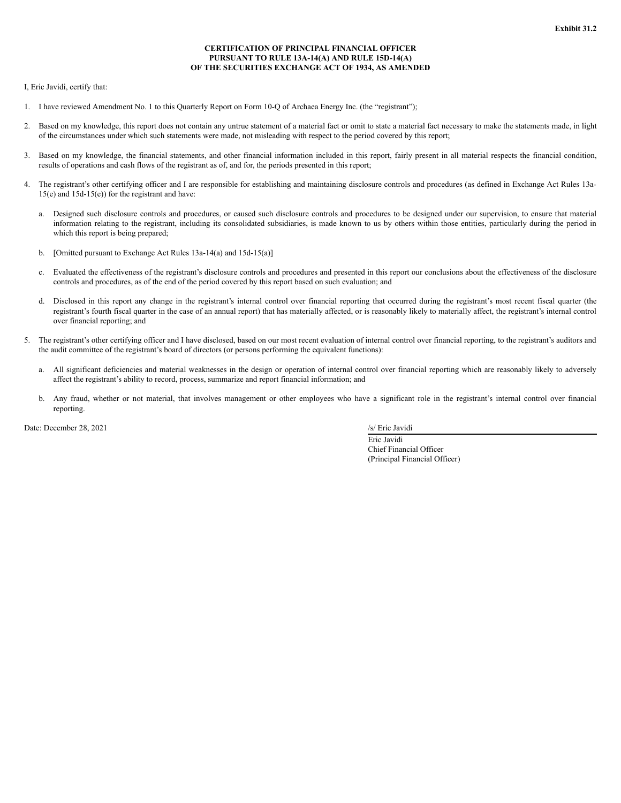# **CERTIFICATION OF PRINCIPAL FINANCIAL OFFICER PURSUANT TO RULE 13A-14(A) AND RULE 15D-14(A) OF THE SECURITIES EXCHANGE ACT OF 1934, AS AMENDED**

I, Eric Javidi, certify that:

- 1. I have reviewed Amendment No. 1 to this Quarterly Report on Form 10-Q of Archaea Energy Inc. (the "registrant");
- Based on my knowledge, this report does not contain any untrue statement of a material fact or omit to state a material fact necessary to make the statements made, in light of the circumstances under which such statements were made, not misleading with respect to the period covered by this report;
- 3. Based on my knowledge, the financial statements, and other financial information included in this report, fairly present in all material respects the financial condition, results of operations and cash flows of the registrant as of, and for, the periods presented in this report;
- 4. The registrant's other certifying officer and I are responsible for establishing and maintaining disclosure controls and procedures (as defined in Exchange Act Rules 13a-15(e) and 15d-15(e)) for the registrant and have:
	- a. Designed such disclosure controls and procedures, or caused such disclosure controls and procedures to be designed under our supervision, to ensure that material information relating to the registrant, including its consolidated subsidiaries, is made known to us by others within those entities, particularly during the period in which this report is being prepared;
	- b. [Omitted pursuant to Exchange Act Rules 13a-14(a) and 15d-15(a)]
	- c. Evaluated the effectiveness of the registrant's disclosure controls and procedures and presented in this report our conclusions about the effectiveness of the disclosure controls and procedures, as of the end of the period covered by this report based on such evaluation; and
	- d. Disclosed in this report any change in the registrant's internal control over financial reporting that occurred during the registrant's most recent fiscal quarter (the registrant's fourth fiscal quarter in the case of an annual report) that has materially affected, or is reasonably likely to materially affect, the registrant's internal control over financial reporting; and
- 5. The registrant's other certifying officer and I have disclosed, based on our most recent evaluation of internal control over financial reporting, to the registrant's auditors and the audit committee of the registrant's board of directors (or persons performing the equivalent functions):
	- a. All significant deficiencies and material weaknesses in the design or operation of internal control over financial reporting which are reasonably likely to adversely affect the registrant's ability to record, process, summarize and report financial information; and
	- b. Any fraud, whether or not material, that involves management or other employees who have a significant role in the registrant's internal control over financial reporting.

Date: December 28, 2021 /s/ Eric Javidi

Eric Javidi Chief Financial Officer (Principal Financial Officer)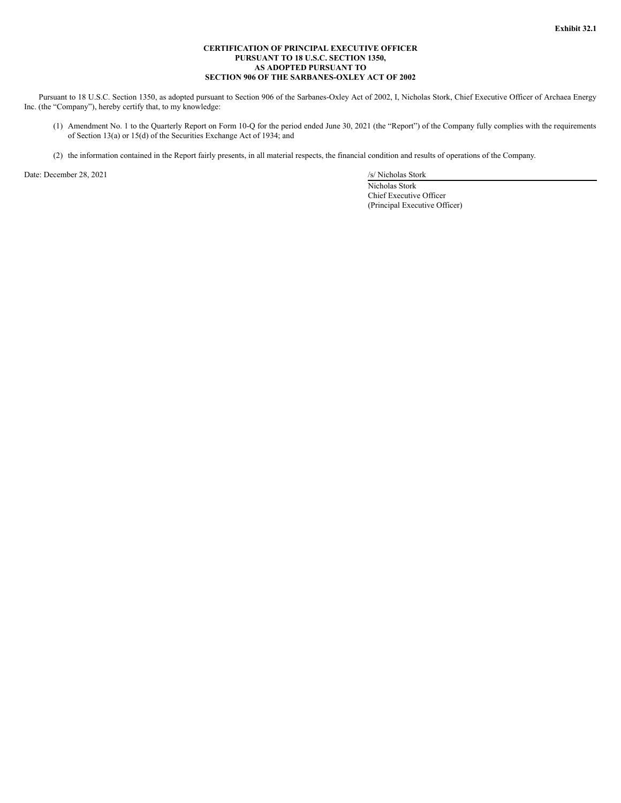## **CERTIFICATION OF PRINCIPAL EXECUTIVE OFFICER PURSUANT TO 18 U.S.C. SECTION 1350, AS ADOPTED PURSUANT TO SECTION 906 OF THE SARBANES-OXLEY ACT OF 2002**

Pursuant to 18 U.S.C. Section 1350, as adopted pursuant to Section 906 of the Sarbanes-Oxley Act of 2002, I, Nicholas Stork, Chief Executive Officer of Archaea Energy Inc. (the "Company"), hereby certify that, to my knowledge:

- (1) Amendment No. 1 to the Quarterly Report on Form 10-Q for the period ended June 30, 2021 (the "Report") of the Company fully complies with the requirements of Section 13(a) or 15(d) of the Securities Exchange Act of 1934; and
- (2) the information contained in the Report fairly presents, in all material respects, the financial condition and results of operations of the Company.

Date: December 28, 2021 /s/ Nicholas Stork

Nicholas Stork Chief Executive Officer (Principal Executive Officer)